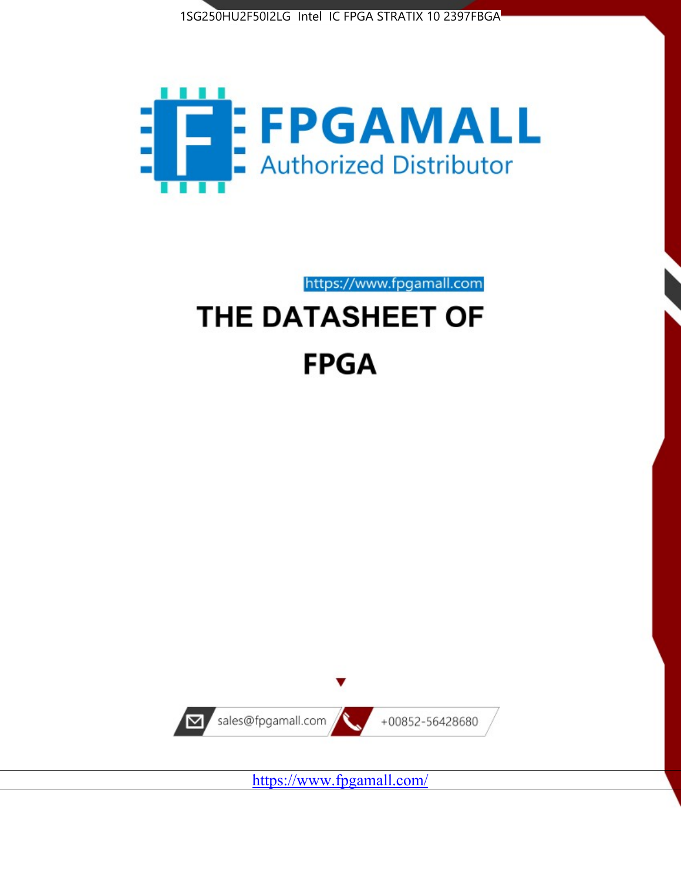



https://www.fpgamall.com

# THE DATASHEET OF **FPGA**



<https://www.fpgamall.com/>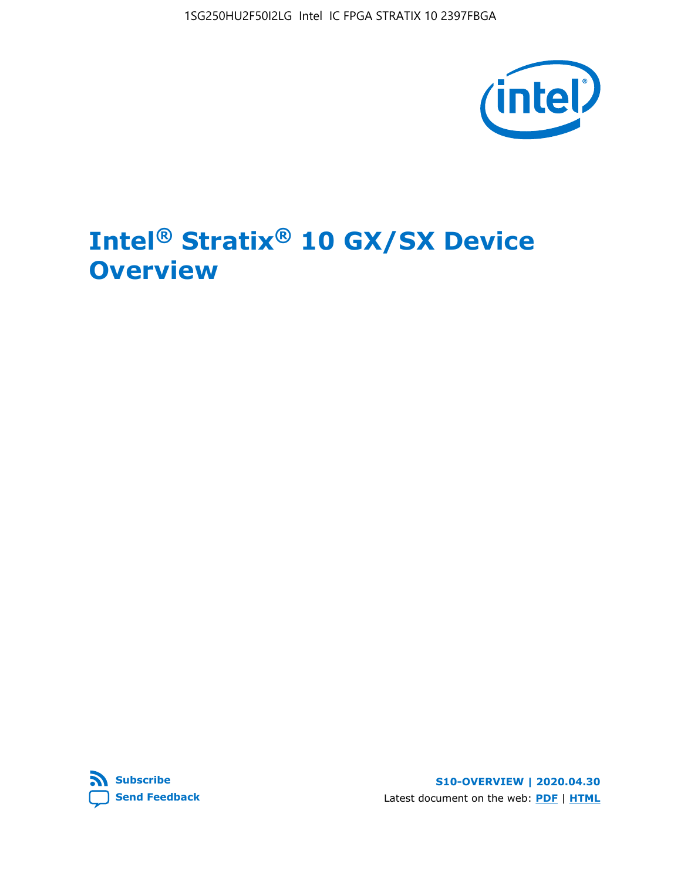

# **Intel® Stratix® 10 GX/SX Device Overview**



**S10-OVERVIEW | 2020.04.30** Latest document on the web: **[PDF](https://www.intel.com/content/dam/www/programmable/us/en/pdfs/literature/hb/stratix-10/s10-overview.pdf)** | **[HTML](https://www.intel.com/content/www/us/en/programmable/documentation/joc1442261161666.html)**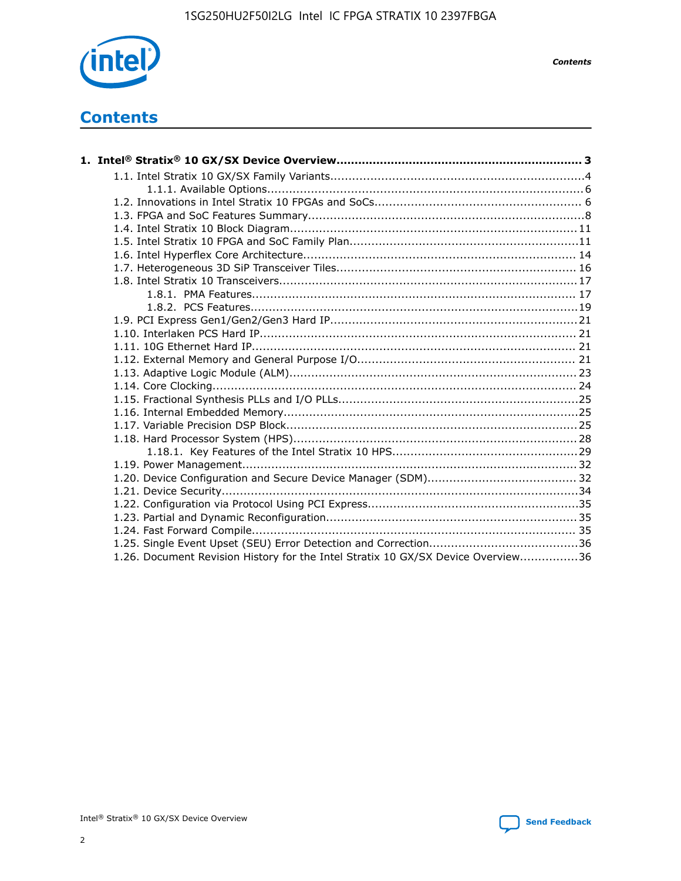

*Contents*

# **Contents**

| 1.26. Document Revision History for the Intel Stratix 10 GX/SX Device Overview36 |  |
|----------------------------------------------------------------------------------|--|

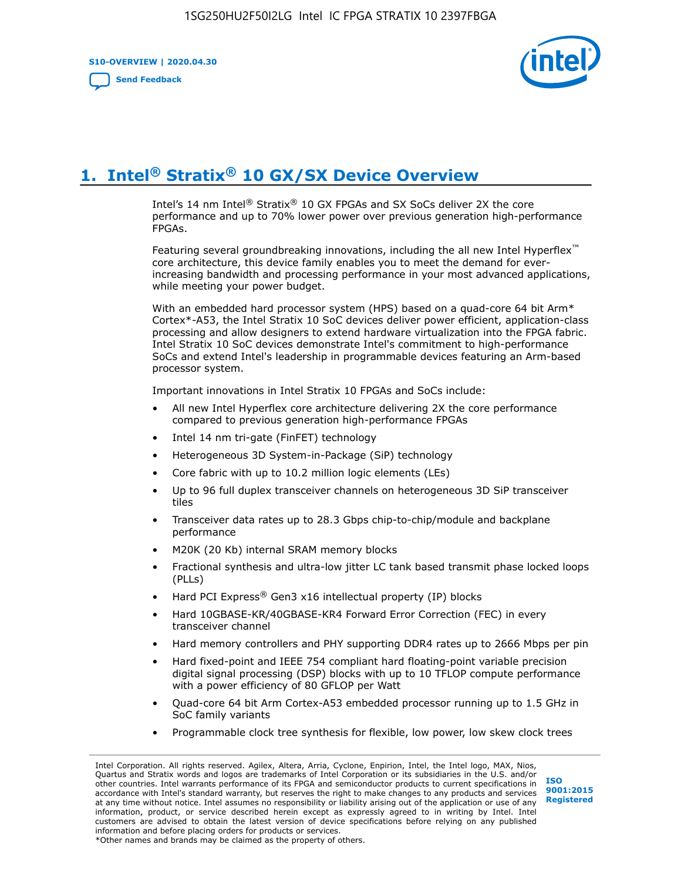**S10-OVERVIEW | 2020.04.30**

**[Send Feedback](mailto:FPGAtechdocfeedback@intel.com?subject=Feedback%20on%20Intel%20Stratix%2010%20GX/SX%20Device%20Overview%20(S10-OVERVIEW%202020.04.30)&body=We%20appreciate%20your%20feedback.%20In%20your%20comments,%20also%20specify%20the%20page%20number%20or%20paragraph.%20Thank%20you.)**



# **1. Intel® Stratix® 10 GX/SX Device Overview**

Intel's 14 nm Intel® Stratix® 10 GX FPGAs and SX SoCs deliver 2X the core performance and up to 70% lower power over previous generation high-performance FPGAs.

Featuring several groundbreaking innovations, including the all new Intel Hyperflex™ core architecture, this device family enables you to meet the demand for everincreasing bandwidth and processing performance in your most advanced applications, while meeting your power budget.

With an embedded hard processor system (HPS) based on a quad-core 64 bit Arm\* Cortex\*-A53, the Intel Stratix 10 SoC devices deliver power efficient, application-class processing and allow designers to extend hardware virtualization into the FPGA fabric. Intel Stratix 10 SoC devices demonstrate Intel's commitment to high-performance SoCs and extend Intel's leadership in programmable devices featuring an Arm-based processor system.

Important innovations in Intel Stratix 10 FPGAs and SoCs include:

- All new Intel Hyperflex core architecture delivering 2X the core performance compared to previous generation high-performance FPGAs
- Intel 14 nm tri-gate (FinFET) technology
- Heterogeneous 3D System-in-Package (SiP) technology
- Core fabric with up to 10.2 million logic elements (LEs)
- Up to 96 full duplex transceiver channels on heterogeneous 3D SiP transceiver tiles
- Transceiver data rates up to 28.3 Gbps chip-to-chip/module and backplane performance
- M20K (20 Kb) internal SRAM memory blocks
- Fractional synthesis and ultra-low jitter LC tank based transmit phase locked loops (PLLs)
- Hard PCI Express<sup>®</sup> Gen3 x16 intellectual property (IP) blocks
- Hard 10GBASE-KR/40GBASE-KR4 Forward Error Correction (FEC) in every transceiver channel
- Hard memory controllers and PHY supporting DDR4 rates up to 2666 Mbps per pin
- Hard fixed-point and IEEE 754 compliant hard floating-point variable precision digital signal processing (DSP) blocks with up to 10 TFLOP compute performance with a power efficiency of 80 GFLOP per Watt
- Quad-core 64 bit Arm Cortex-A53 embedded processor running up to 1.5 GHz in SoC family variants
- Programmable clock tree synthesis for flexible, low power, low skew clock trees

Intel Corporation. All rights reserved. Agilex, Altera, Arria, Cyclone, Enpirion, Intel, the Intel logo, MAX, Nios, Quartus and Stratix words and logos are trademarks of Intel Corporation or its subsidiaries in the U.S. and/or other countries. Intel warrants performance of its FPGA and semiconductor products to current specifications in accordance with Intel's standard warranty, but reserves the right to make changes to any products and services at any time without notice. Intel assumes no responsibility or liability arising out of the application or use of any information, product, or service described herein except as expressly agreed to in writing by Intel. Intel customers are advised to obtain the latest version of device specifications before relying on any published information and before placing orders for products or services. \*Other names and brands may be claimed as the property of others.

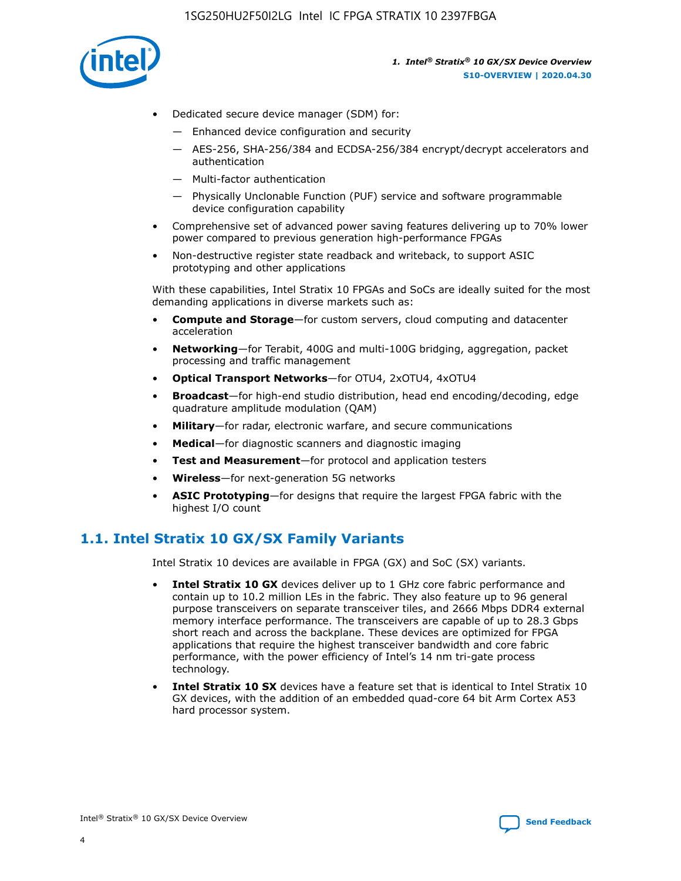

- Dedicated secure device manager (SDM) for:
	- Enhanced device configuration and security
	- AES-256, SHA-256/384 and ECDSA-256/384 encrypt/decrypt accelerators and authentication
	- Multi-factor authentication
	- Physically Unclonable Function (PUF) service and software programmable device configuration capability
- Comprehensive set of advanced power saving features delivering up to 70% lower power compared to previous generation high-performance FPGAs
- Non-destructive register state readback and writeback, to support ASIC prototyping and other applications

With these capabilities, Intel Stratix 10 FPGAs and SoCs are ideally suited for the most demanding applications in diverse markets such as:

- **Compute and Storage**—for custom servers, cloud computing and datacenter acceleration
- **Networking**—for Terabit, 400G and multi-100G bridging, aggregation, packet processing and traffic management
- **Optical Transport Networks**—for OTU4, 2xOTU4, 4xOTU4
- **Broadcast**—for high-end studio distribution, head end encoding/decoding, edge quadrature amplitude modulation (QAM)
- **Military**—for radar, electronic warfare, and secure communications
- **Medical**—for diagnostic scanners and diagnostic imaging
- **Test and Measurement**—for protocol and application testers
- **Wireless**—for next-generation 5G networks
- **ASIC Prototyping**—for designs that require the largest FPGA fabric with the highest I/O count

## **1.1. Intel Stratix 10 GX/SX Family Variants**

Intel Stratix 10 devices are available in FPGA (GX) and SoC (SX) variants.

- **Intel Stratix 10 GX** devices deliver up to 1 GHz core fabric performance and contain up to 10.2 million LEs in the fabric. They also feature up to 96 general purpose transceivers on separate transceiver tiles, and 2666 Mbps DDR4 external memory interface performance. The transceivers are capable of up to 28.3 Gbps short reach and across the backplane. These devices are optimized for FPGA applications that require the highest transceiver bandwidth and core fabric performance, with the power efficiency of Intel's 14 nm tri-gate process technology.
- **Intel Stratix 10 SX** devices have a feature set that is identical to Intel Stratix 10 GX devices, with the addition of an embedded quad-core 64 bit Arm Cortex A53 hard processor system.

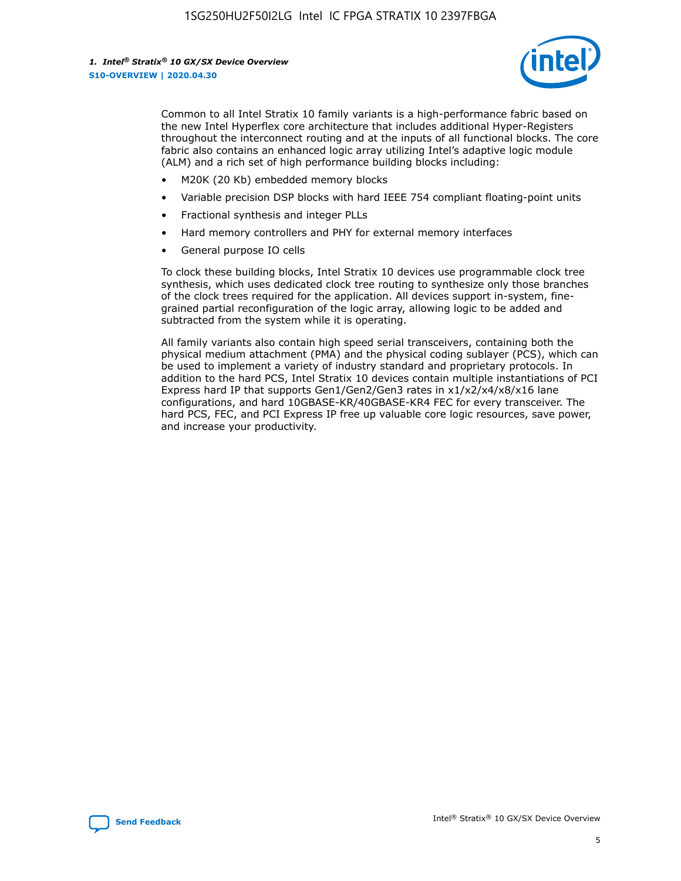

Common to all Intel Stratix 10 family variants is a high-performance fabric based on the new Intel Hyperflex core architecture that includes additional Hyper-Registers throughout the interconnect routing and at the inputs of all functional blocks. The core fabric also contains an enhanced logic array utilizing Intel's adaptive logic module (ALM) and a rich set of high performance building blocks including:

- M20K (20 Kb) embedded memory blocks
- Variable precision DSP blocks with hard IEEE 754 compliant floating-point units
- Fractional synthesis and integer PLLs
- Hard memory controllers and PHY for external memory interfaces
- General purpose IO cells

To clock these building blocks, Intel Stratix 10 devices use programmable clock tree synthesis, which uses dedicated clock tree routing to synthesize only those branches of the clock trees required for the application. All devices support in-system, finegrained partial reconfiguration of the logic array, allowing logic to be added and subtracted from the system while it is operating.

All family variants also contain high speed serial transceivers, containing both the physical medium attachment (PMA) and the physical coding sublayer (PCS), which can be used to implement a variety of industry standard and proprietary protocols. In addition to the hard PCS, Intel Stratix 10 devices contain multiple instantiations of PCI Express hard IP that supports Gen1/Gen2/Gen3 rates in x1/x2/x4/x8/x16 lane configurations, and hard 10GBASE-KR/40GBASE-KR4 FEC for every transceiver. The hard PCS, FEC, and PCI Express IP free up valuable core logic resources, save power, and increase your productivity.

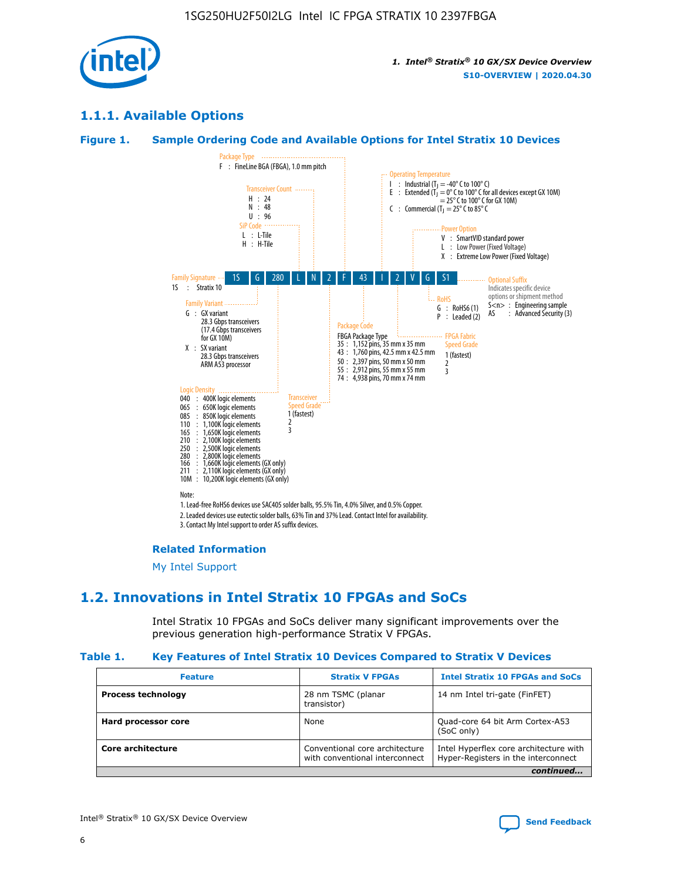

## **1.1.1. Available Options**

#### **Figure 1. Sample Ordering Code and Available Options for Intel Stratix 10 Devices**



## **Related Information**

[My Intel Support](https://www.intel.com/content/www/us/en/programmable/my-intel/mal-home.html)

## **1.2. Innovations in Intel Stratix 10 FPGAs and SoCs**

Intel Stratix 10 FPGAs and SoCs deliver many significant improvements over the previous generation high-performance Stratix V FPGAs.

#### **Table 1. Key Features of Intel Stratix 10 Devices Compared to Stratix V Devices**

| <b>Feature</b>            | <b>Stratix V FPGAs</b>                                           | <b>Intel Stratix 10 FPGAs and SoCs</b>                                        |  |
|---------------------------|------------------------------------------------------------------|-------------------------------------------------------------------------------|--|
| <b>Process technology</b> | 28 nm TSMC (planar<br>transistor)                                | 14 nm Intel tri-gate (FinFET)                                                 |  |
| Hard processor core       | None                                                             | Quad-core 64 bit Arm Cortex-A53<br>(SoC only)                                 |  |
| Core architecture         | Conventional core architecture<br>with conventional interconnect | Intel Hyperflex core architecture with<br>Hyper-Registers in the interconnect |  |
|                           |                                                                  | continued                                                                     |  |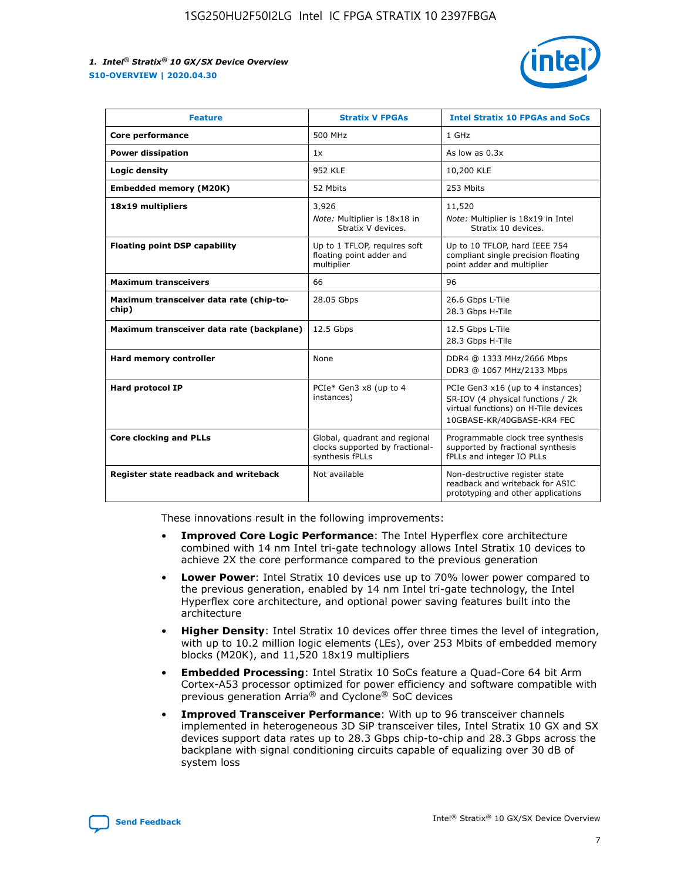

| <b>Feature</b>                                   | <b>Stratix V FPGAs</b>                                                              | <b>Intel Stratix 10 FPGAs and SoCs</b>                                                                                                       |
|--------------------------------------------------|-------------------------------------------------------------------------------------|----------------------------------------------------------------------------------------------------------------------------------------------|
| Core performance                                 | 500 MHz                                                                             | 1 GHz                                                                                                                                        |
| <b>Power dissipation</b>                         | 1x                                                                                  | As low as $0.3x$                                                                                                                             |
| Logic density                                    | 952 KLE                                                                             | 10,200 KLE                                                                                                                                   |
| <b>Embedded memory (M20K)</b>                    | 52 Mbits                                                                            | 253 Mbits                                                                                                                                    |
| 18x19 multipliers                                | 3,926<br>Note: Multiplier is 18x18 in<br>Stratix V devices.                         | 11,520<br>Note: Multiplier is 18x19 in Intel<br>Stratix 10 devices.                                                                          |
| <b>Floating point DSP capability</b>             | Up to 1 TFLOP, requires soft<br>floating point adder and<br>multiplier              | Up to 10 TFLOP, hard IEEE 754<br>compliant single precision floating<br>point adder and multiplier                                           |
| <b>Maximum transceivers</b>                      | 66                                                                                  | 96                                                                                                                                           |
| Maximum transceiver data rate (chip-to-<br>chip) | 28.05 Gbps                                                                          | 26.6 Gbps L-Tile<br>28.3 Gbps H-Tile                                                                                                         |
| Maximum transceiver data rate (backplane)        | 12.5 Gbps                                                                           | 12.5 Gbps L-Tile<br>28.3 Gbps H-Tile                                                                                                         |
| <b>Hard memory controller</b>                    | None                                                                                | DDR4 @ 1333 MHz/2666 Mbps<br>DDR3 @ 1067 MHz/2133 Mbps                                                                                       |
| <b>Hard protocol IP</b>                          | PCIe* Gen3 x8 (up to 4<br>instances)                                                | PCIe Gen3 x16 (up to 4 instances)<br>SR-IOV (4 physical functions / 2k<br>virtual functions) on H-Tile devices<br>10GBASE-KR/40GBASE-KR4 FEC |
| <b>Core clocking and PLLs</b>                    | Global, quadrant and regional<br>clocks supported by fractional-<br>synthesis fPLLs | Programmable clock tree synthesis<br>supported by fractional synthesis<br>fPLLs and integer IO PLLs                                          |
| Register state readback and writeback            | Not available                                                                       | Non-destructive register state<br>readback and writeback for ASIC<br>prototyping and other applications                                      |

These innovations result in the following improvements:

- **Improved Core Logic Performance**: The Intel Hyperflex core architecture combined with 14 nm Intel tri-gate technology allows Intel Stratix 10 devices to achieve 2X the core performance compared to the previous generation
- **Lower Power**: Intel Stratix 10 devices use up to 70% lower power compared to the previous generation, enabled by 14 nm Intel tri-gate technology, the Intel Hyperflex core architecture, and optional power saving features built into the architecture
- **Higher Density**: Intel Stratix 10 devices offer three times the level of integration, with up to 10.2 million logic elements (LEs), over 253 Mbits of embedded memory blocks (M20K), and 11,520 18x19 multipliers
- **Embedded Processing**: Intel Stratix 10 SoCs feature a Quad-Core 64 bit Arm Cortex-A53 processor optimized for power efficiency and software compatible with previous generation Arria® and Cyclone® SoC devices
- **Improved Transceiver Performance**: With up to 96 transceiver channels implemented in heterogeneous 3D SiP transceiver tiles, Intel Stratix 10 GX and SX devices support data rates up to 28.3 Gbps chip-to-chip and 28.3 Gbps across the backplane with signal conditioning circuits capable of equalizing over 30 dB of system loss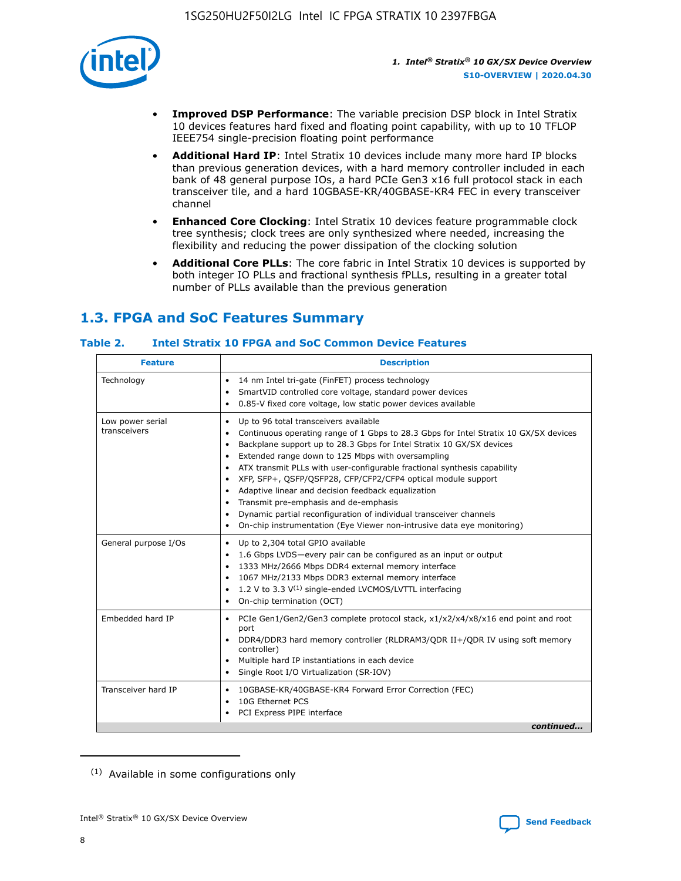

- **Improved DSP Performance**: The variable precision DSP block in Intel Stratix 10 devices features hard fixed and floating point capability, with up to 10 TFLOP IEEE754 single-precision floating point performance
- **Additional Hard IP**: Intel Stratix 10 devices include many more hard IP blocks than previous generation devices, with a hard memory controller included in each bank of 48 general purpose IOs, a hard PCIe Gen3 x16 full protocol stack in each transceiver tile, and a hard 10GBASE-KR/40GBASE-KR4 FEC in every transceiver channel
- **Enhanced Core Clocking**: Intel Stratix 10 devices feature programmable clock tree synthesis; clock trees are only synthesized where needed, increasing the flexibility and reducing the power dissipation of the clocking solution
- **Additional Core PLLs**: The core fabric in Intel Stratix 10 devices is supported by both integer IO PLLs and fractional synthesis fPLLs, resulting in a greater total number of PLLs available than the previous generation

## **1.3. FPGA and SoC Features Summary**

## **Table 2. Intel Stratix 10 FPGA and SoC Common Device Features**

| <b>Feature</b>                   | <b>Description</b>                                                                                                                                                                                                                                                                                                                                                                                                                                                                                                                                                                                                                                                                                                                                   |
|----------------------------------|------------------------------------------------------------------------------------------------------------------------------------------------------------------------------------------------------------------------------------------------------------------------------------------------------------------------------------------------------------------------------------------------------------------------------------------------------------------------------------------------------------------------------------------------------------------------------------------------------------------------------------------------------------------------------------------------------------------------------------------------------|
| Technology                       | 14 nm Intel tri-gate (FinFET) process technology<br>٠<br>SmartVID controlled core voltage, standard power devices<br>0.85-V fixed core voltage, low static power devices available                                                                                                                                                                                                                                                                                                                                                                                                                                                                                                                                                                   |
| Low power serial<br>transceivers | Up to 96 total transceivers available<br>$\bullet$<br>Continuous operating range of 1 Gbps to 28.3 Gbps for Intel Stratix 10 GX/SX devices<br>$\bullet$<br>Backplane support up to 28.3 Gbps for Intel Stratix 10 GX/SX devices<br>$\bullet$<br>Extended range down to 125 Mbps with oversampling<br>$\bullet$<br>ATX transmit PLLs with user-configurable fractional synthesis capability<br>$\bullet$<br>• XFP, SFP+, OSFP/OSFP28, CFP/CFP2/CFP4 optical module support<br>• Adaptive linear and decision feedback equalization<br>Transmit pre-emphasis and de-emphasis<br>Dynamic partial reconfiguration of individual transceiver channels<br>$\bullet$<br>On-chip instrumentation (Eye Viewer non-intrusive data eye monitoring)<br>$\bullet$ |
| General purpose I/Os             | Up to 2,304 total GPIO available<br>$\bullet$<br>1.6 Gbps LVDS-every pair can be configured as an input or output<br>$\bullet$<br>1333 MHz/2666 Mbps DDR4 external memory interface<br>1067 MHz/2133 Mbps DDR3 external memory interface<br>1.2 V to 3.3 $V^{(1)}$ single-ended LVCMOS/LVTTL interfacing<br>$\bullet$<br>On-chip termination (OCT)<br>$\bullet$                                                                                                                                                                                                                                                                                                                                                                                      |
| Embedded hard IP                 | • PCIe Gen1/Gen2/Gen3 complete protocol stack, $x1/x2/x4/x8/x16$ end point and root<br>port<br>DDR4/DDR3 hard memory controller (RLDRAM3/QDR II+/QDR IV using soft memory<br>controller)<br>Multiple hard IP instantiations in each device<br>$\bullet$<br>• Single Root I/O Virtualization (SR-IOV)                                                                                                                                                                                                                                                                                                                                                                                                                                                 |
| Transceiver hard IP              | 10GBASE-KR/40GBASE-KR4 Forward Error Correction (FEC)<br>$\bullet$<br>10G Ethernet PCS<br>$\bullet$<br>• PCI Express PIPE interface<br>continued                                                                                                                                                                                                                                                                                                                                                                                                                                                                                                                                                                                                     |

<sup>(1)</sup> Available in some configurations only

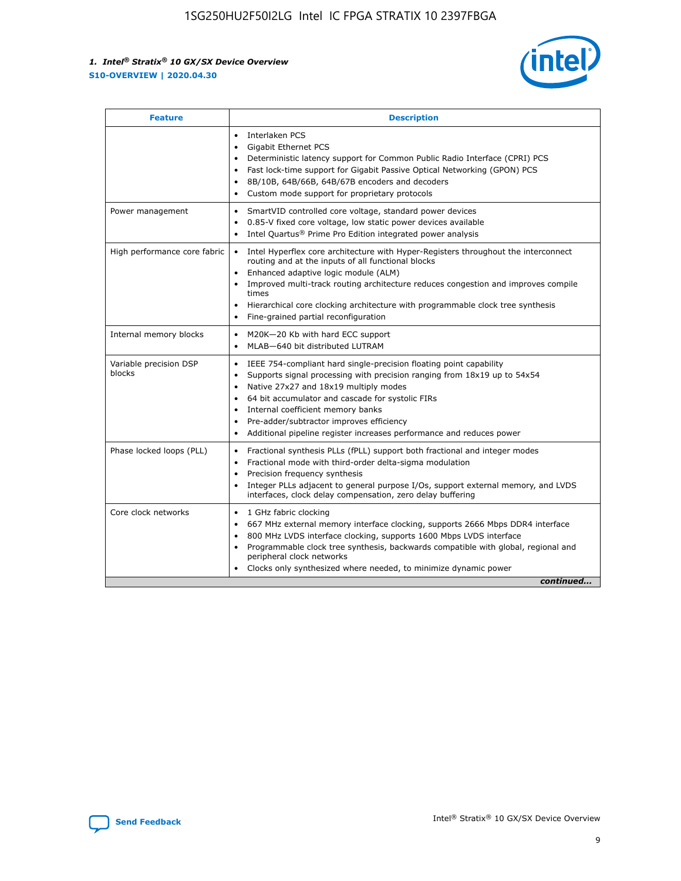

| <b>Feature</b>                   | <b>Description</b>                                                                                                                                                                                                                                                                                                                                                                                                                            |
|----------------------------------|-----------------------------------------------------------------------------------------------------------------------------------------------------------------------------------------------------------------------------------------------------------------------------------------------------------------------------------------------------------------------------------------------------------------------------------------------|
|                                  | Interlaken PCS<br>$\bullet$<br><b>Gigabit Ethernet PCS</b><br>$\bullet$<br>Deterministic latency support for Common Public Radio Interface (CPRI) PCS<br>$\bullet$<br>Fast lock-time support for Gigabit Passive Optical Networking (GPON) PCS<br>$\bullet$<br>8B/10B, 64B/66B, 64B/67B encoders and decoders<br>Custom mode support for proprietary protocols                                                                                |
| Power management                 | SmartVID controlled core voltage, standard power devices<br>$\bullet$<br>0.85-V fixed core voltage, low static power devices available<br>$\bullet$<br>Intel Quartus <sup>®</sup> Prime Pro Edition integrated power analysis                                                                                                                                                                                                                 |
| High performance core fabric     | Intel Hyperflex core architecture with Hyper-Registers throughout the interconnect<br>routing and at the inputs of all functional blocks<br>Enhanced adaptive logic module (ALM)<br>Improved multi-track routing architecture reduces congestion and improves compile<br>times<br>Hierarchical core clocking architecture with programmable clock tree synthesis<br>Fine-grained partial reconfiguration                                      |
| Internal memory blocks           | M20K-20 Kb with hard ECC support<br>MLAB-640 bit distributed LUTRAM                                                                                                                                                                                                                                                                                                                                                                           |
| Variable precision DSP<br>blocks | IEEE 754-compliant hard single-precision floating point capability<br>$\bullet$<br>Supports signal processing with precision ranging from 18x19 up to 54x54<br>$\bullet$<br>Native 27x27 and 18x19 multiply modes<br>٠<br>64 bit accumulator and cascade for systolic FIRs<br>Internal coefficient memory banks<br>Pre-adder/subtractor improves efficiency<br>٠<br>Additional pipeline register increases performance and reduces power<br>٠ |
| Phase locked loops (PLL)         | Fractional synthesis PLLs (fPLL) support both fractional and integer modes<br>$\bullet$<br>Fractional mode with third-order delta-sigma modulation<br>Precision frequency synthesis<br>٠<br>Integer PLLs adjacent to general purpose I/Os, support external memory, and LVDS<br>٠<br>interfaces, clock delay compensation, zero delay buffering                                                                                               |
| Core clock networks              | 1 GHz fabric clocking<br>٠<br>667 MHz external memory interface clocking, supports 2666 Mbps DDR4 interface<br>800 MHz LVDS interface clocking, supports 1600 Mbps LVDS interface<br>$\bullet$<br>Programmable clock tree synthesis, backwards compatible with global, regional and<br>$\bullet$<br>peripheral clock networks<br>Clocks only synthesized where needed, to minimize dynamic power<br>continued                                 |

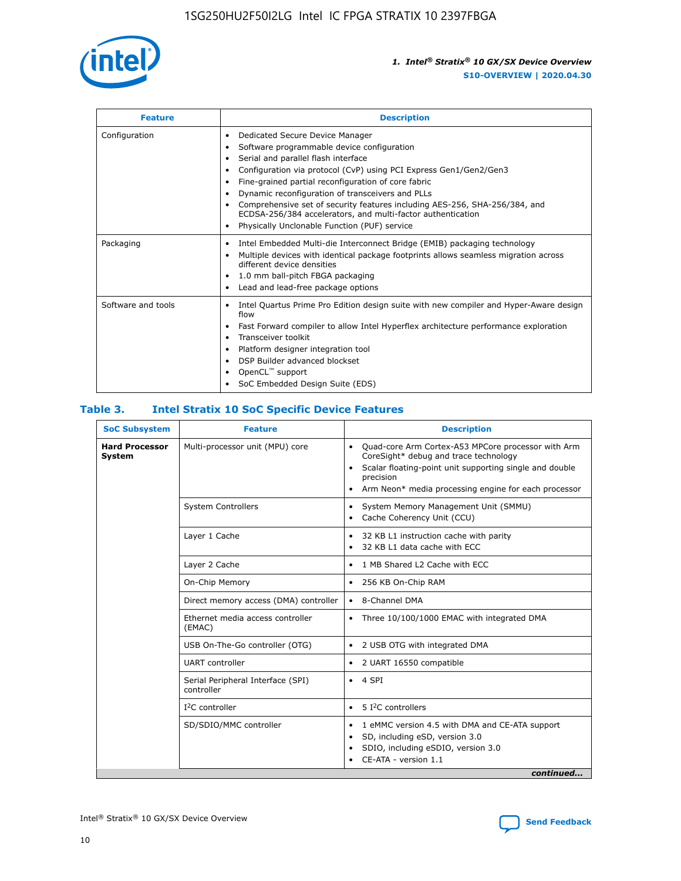

| <b>Feature</b>     | <b>Description</b>                                                                                                                                                                                                                                                                                                                                                                                                                                                                                                                                                   |
|--------------------|----------------------------------------------------------------------------------------------------------------------------------------------------------------------------------------------------------------------------------------------------------------------------------------------------------------------------------------------------------------------------------------------------------------------------------------------------------------------------------------------------------------------------------------------------------------------|
| Configuration      | Dedicated Secure Device Manager<br>$\bullet$<br>Software programmable device configuration<br>٠<br>Serial and parallel flash interface<br>٠<br>Configuration via protocol (CvP) using PCI Express Gen1/Gen2/Gen3<br>٠<br>Fine-grained partial reconfiguration of core fabric<br>$\bullet$<br>Dynamic reconfiguration of transceivers and PLLs<br>$\bullet$<br>Comprehensive set of security features including AES-256, SHA-256/384, and<br>ECDSA-256/384 accelerators, and multi-factor authentication<br>Physically Unclonable Function (PUF) service<br>$\bullet$ |
| Packaging          | Intel Embedded Multi-die Interconnect Bridge (EMIB) packaging technology<br>٠<br>Multiple devices with identical package footprints allows seamless migration across<br>$\bullet$<br>different device densities<br>1.0 mm ball-pitch FBGA packaging<br>$\bullet$<br>Lead and lead-free package options                                                                                                                                                                                                                                                               |
| Software and tools | Intel Quartus Prime Pro Edition design suite with new compiler and Hyper-Aware design<br>flow<br>Fast Forward compiler to allow Intel Hyperflex architecture performance exploration<br>$\bullet$<br>Transceiver toolkit<br>$\bullet$<br>Platform designer integration tool<br>DSP Builder advanced blockset<br>OpenCL <sup>™</sup> support<br>SoC Embedded Design Suite (EDS)                                                                                                                                                                                       |

## **Table 3. Intel Stratix 10 SoC Specific Device Features**

| <b>Hard Processor</b> | Multi-processor unit (MPU) core                 |                                                                                                                                                                                                                                                                    |  |  |
|-----------------------|-------------------------------------------------|--------------------------------------------------------------------------------------------------------------------------------------------------------------------------------------------------------------------------------------------------------------------|--|--|
| System                |                                                 | Quad-core Arm Cortex-A53 MPCore processor with Arm<br>$\bullet$<br>CoreSight* debug and trace technology<br>Scalar floating-point unit supporting single and double<br>$\bullet$<br>precision<br>Arm Neon* media processing engine for each processor<br>$\bullet$ |  |  |
|                       | <b>System Controllers</b>                       | System Memory Management Unit (SMMU)<br>٠<br>Cache Coherency Unit (CCU)<br>$\bullet$                                                                                                                                                                               |  |  |
|                       | Layer 1 Cache                                   | 32 KB L1 instruction cache with parity<br>$\bullet$<br>32 KB L1 data cache with ECC<br>$\bullet$                                                                                                                                                                   |  |  |
|                       | Layer 2 Cache                                   | 1 MB Shared L2 Cache with ECC<br>$\bullet$                                                                                                                                                                                                                         |  |  |
|                       | On-Chip Memory                                  | 256 KB On-Chip RAM<br>٠                                                                                                                                                                                                                                            |  |  |
|                       | Direct memory access (DMA) controller           | • 8-Channel DMA                                                                                                                                                                                                                                                    |  |  |
|                       | Ethernet media access controller<br>(EMAC)      | Three 10/100/1000 EMAC with integrated DMA<br>$\bullet$                                                                                                                                                                                                            |  |  |
|                       | USB On-The-Go controller (OTG)                  | 2 USB OTG with integrated DMA<br>٠                                                                                                                                                                                                                                 |  |  |
|                       | <b>UART</b> controller                          | 2 UART 16550 compatible<br>٠                                                                                                                                                                                                                                       |  |  |
|                       | Serial Peripheral Interface (SPI)<br>controller | $\bullet$ 4 SPI                                                                                                                                                                                                                                                    |  |  |
|                       | $I2C$ controller                                | 5 I <sup>2</sup> C controllers<br>$\bullet$                                                                                                                                                                                                                        |  |  |
|                       | SD/SDIO/MMC controller                          | 1 eMMC version 4.5 with DMA and CE-ATA support<br>٠<br>SD, including eSD, version 3.0<br>$\bullet$<br>SDIO, including eSDIO, version 3.0<br>CE-ATA - version 1.1<br>continued                                                                                      |  |  |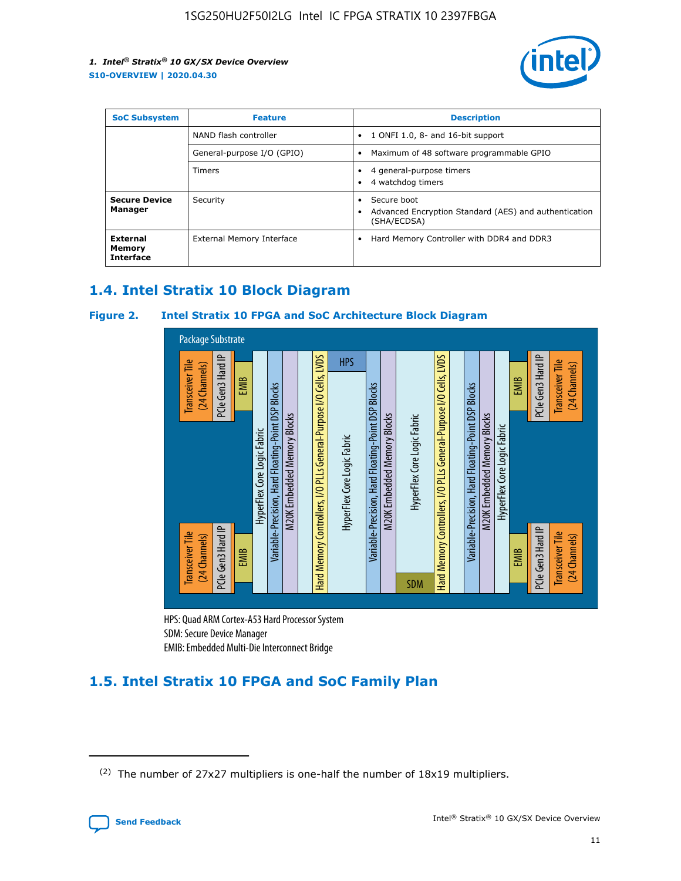

| <b>SoC Subsystem</b>                          | <b>Feature</b>             | <b>Description</b>                                                                                    |  |  |
|-----------------------------------------------|----------------------------|-------------------------------------------------------------------------------------------------------|--|--|
|                                               | NAND flash controller      | 1 ONFI 1.0, 8- and 16-bit support<br>$\bullet$                                                        |  |  |
|                                               | General-purpose I/O (GPIO) | Maximum of 48 software programmable GPIO<br>$\bullet$                                                 |  |  |
|                                               | <b>Timers</b>              | 4 general-purpose timers<br>٠<br>4 watchdog timers<br>٠                                               |  |  |
| <b>Secure Device</b><br>Manager               | Security                   | Secure boot<br>$\bullet$<br>Advanced Encryption Standard (AES) and authentication<br>٠<br>(SHA/ECDSA) |  |  |
| <b>External</b><br>Memory<br><b>Interface</b> | External Memory Interface  | Hard Memory Controller with DDR4 and DDR3<br>$\bullet$                                                |  |  |

## **1.4. Intel Stratix 10 Block Diagram**

## **Figure 2. Intel Stratix 10 FPGA and SoC Architecture Block Diagram**



HPS: Quad ARM Cortex-A53 Hard Processor System SDM: Secure Device Manager

# **1.5. Intel Stratix 10 FPGA and SoC Family Plan**

<sup>(2)</sup> The number of 27x27 multipliers is one-half the number of 18x19 multipliers.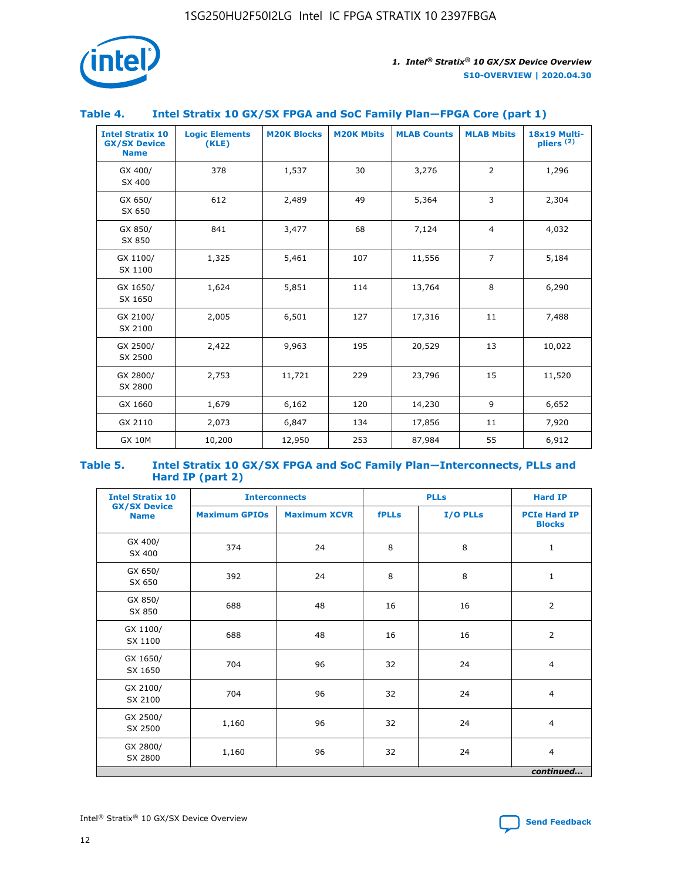

## **Table 4. Intel Stratix 10 GX/SX FPGA and SoC Family Plan—FPGA Core (part 1)**

| <b>Intel Stratix 10</b><br><b>GX/SX Device</b><br><b>Name</b> | <b>Logic Elements</b><br>(KLE) | <b>M20K Blocks</b> | <b>M20K Mbits</b> | <b>MLAB Counts</b> | <b>MLAB Mbits</b> | 18x19 Multi-<br>pliers <sup>(2)</sup> |
|---------------------------------------------------------------|--------------------------------|--------------------|-------------------|--------------------|-------------------|---------------------------------------|
| GX 400/<br>SX 400                                             | 378                            | 1,537              | 30                | 3,276              | $\overline{2}$    | 1,296                                 |
| GX 650/<br>SX 650                                             | 612                            | 2,489              | 49                | 5,364              | 3                 | 2,304                                 |
| GX 850/<br>SX 850                                             | 841                            | 3,477              | 68                | 7,124              | $\overline{4}$    | 4,032                                 |
| GX 1100/<br>SX 1100                                           | 1,325                          | 5,461              | 107               | 11,556             | $\overline{7}$    | 5,184                                 |
| GX 1650/<br>SX 1650                                           | 1,624                          | 5,851              | 114               | 13,764             | 8                 | 6,290                                 |
| GX 2100/<br>SX 2100                                           | 2,005                          | 6,501              | 127               | 17,316             | 11                | 7,488                                 |
| GX 2500/<br>SX 2500                                           | 2,422                          | 9,963              | 195               | 20,529             | 13                | 10,022                                |
| GX 2800/<br>SX 2800                                           | 2,753                          | 11,721             | 229               | 23,796             | 15                | 11,520                                |
| GX 1660                                                       | 1,679                          | 6,162              | 120               | 14,230             | 9                 | 6,652                                 |
| GX 2110                                                       | 2,073                          | 6,847              | 134               | 17,856             | 11                | 7,920                                 |
| <b>GX 10M</b>                                                 | 10,200                         | 12,950             | 253               | 87,984             | 55                | 6,912                                 |

#### **Table 5. Intel Stratix 10 GX/SX FPGA and SoC Family Plan—Interconnects, PLLs and Hard IP (part 2)**

| <b>Intel Stratix 10</b>            | <b>Interconnects</b> |                     | <b>PLLs</b>  |          | <b>Hard IP</b>                       |  |
|------------------------------------|----------------------|---------------------|--------------|----------|--------------------------------------|--|
| <b>GX/SX Device</b><br><b>Name</b> | <b>Maximum GPIOs</b> | <b>Maximum XCVR</b> | <b>fPLLs</b> | I/O PLLs | <b>PCIe Hard IP</b><br><b>Blocks</b> |  |
| GX 400/<br>SX 400                  | 374                  | 24                  | 8            | 8        | $\mathbf{1}$                         |  |
| GX 650/<br>SX 650                  | 392                  | 24                  | 8            | 8        | $\mathbf{1}$                         |  |
| GX 850/<br>SX 850                  | 688                  | 48                  | 16           | 16       | 2                                    |  |
| GX 1100/<br>SX 1100                | 688                  | 48                  | 16           | 16       | 2                                    |  |
| GX 1650/<br>SX 1650                | 704                  | 96                  | 32           | 24       | $\overline{4}$                       |  |
| GX 2100/<br>SX 2100                | 704                  | 96                  | 32           | 24       | $\overline{4}$                       |  |
| GX 2500/<br>SX 2500                | 1,160                | 96                  | 32           | 24       | $\overline{4}$                       |  |
| GX 2800/<br>SX 2800                | 1,160                | 96                  | 32           | 24       | $\overline{4}$                       |  |
| continued                          |                      |                     |              |          |                                      |  |

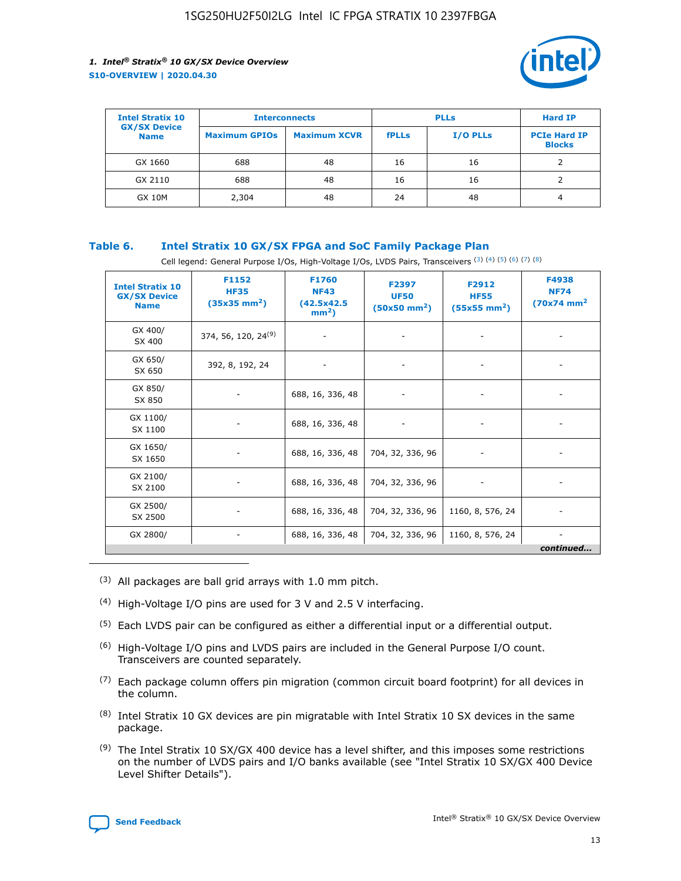

| <b>Intel Stratix 10</b>            | <b>Interconnects</b> |                     |              | <b>Hard IP</b>  |                                      |
|------------------------------------|----------------------|---------------------|--------------|-----------------|--------------------------------------|
| <b>GX/SX Device</b><br><b>Name</b> | <b>Maximum GPIOs</b> | <b>Maximum XCVR</b> | <b>fPLLs</b> | <b>I/O PLLs</b> | <b>PCIe Hard IP</b><br><b>Blocks</b> |
| GX 1660                            | 688                  | 48                  | 16           | 16              |                                      |
| GX 2110                            | 688                  | 48                  | 16           | 16              |                                      |
| <b>GX 10M</b>                      | 2,304                | 48                  | 24           | 48              | 4                                    |

## **Table 6. Intel Stratix 10 GX/SX FPGA and SoC Family Package Plan**

Cell legend: General Purpose I/Os, High-Voltage I/Os, LVDS Pairs, Transceivers (3) (4) (5) (6) (7) (8)

| <b>Intel Stratix 10</b><br><b>GX/SX Device</b><br><b>Name</b> | F1152<br><b>HF35</b><br>$(35x35 \text{ mm}^2)$ | <b>F1760</b><br><b>NF43</b><br>(42.5x42.5<br>$mm2$ ) | F2397<br><b>UF50</b><br>$(50x50$ mm <sup>2</sup> ) | F2912<br><b>HF55</b><br>$(55x55 \text{ mm}^2)$ | F4938<br><b>NF74</b><br>$(70x74)$ mm <sup>2</sup> |
|---------------------------------------------------------------|------------------------------------------------|------------------------------------------------------|----------------------------------------------------|------------------------------------------------|---------------------------------------------------|
| GX 400/<br>SX 400                                             | 374, 56, 120, 24 <sup>(9)</sup>                | $\overline{\phantom{a}}$                             | $\overline{\phantom{a}}$                           |                                                |                                                   |
| GX 650/<br>SX 650                                             | 392, 8, 192, 24                                | ٠                                                    | $\overline{\phantom{a}}$                           |                                                |                                                   |
| GX 850/<br>SX 850                                             |                                                | 688, 16, 336, 48                                     |                                                    |                                                |                                                   |
| GX 1100/<br>SX 1100                                           |                                                | 688, 16, 336, 48                                     |                                                    |                                                |                                                   |
| GX 1650/<br>SX 1650                                           |                                                | 688, 16, 336, 48                                     | 704, 32, 336, 96                                   |                                                |                                                   |
| GX 2100/<br>SX 2100                                           |                                                | 688, 16, 336, 48                                     | 704, 32, 336, 96                                   | -                                              | ۰                                                 |
| GX 2500/<br>SX 2500                                           |                                                | 688, 16, 336, 48                                     | 704, 32, 336, 96                                   | 1160, 8, 576, 24                               |                                                   |
| GX 2800/                                                      | $\overline{\phantom{a}}$                       | 688, 16, 336, 48                                     | 704, 32, 336, 96                                   | 1160, 8, 576, 24                               | ٠<br>continued                                    |

- (3) All packages are ball grid arrays with 1.0 mm pitch.
- (4) High-Voltage I/O pins are used for 3 V and 2.5 V interfacing.
- $(5)$  Each LVDS pair can be configured as either a differential input or a differential output.
- (6) High-Voltage I/O pins and LVDS pairs are included in the General Purpose I/O count. Transceivers are counted separately.
- $(7)$  Each package column offers pin migration (common circuit board footprint) for all devices in the column.
- $(8)$  Intel Stratix 10 GX devices are pin migratable with Intel Stratix 10 SX devices in the same package.
- $(9)$  The Intel Stratix 10 SX/GX 400 device has a level shifter, and this imposes some restrictions on the number of LVDS pairs and I/O banks available (see "Intel Stratix 10 SX/GX 400 Device Level Shifter Details").

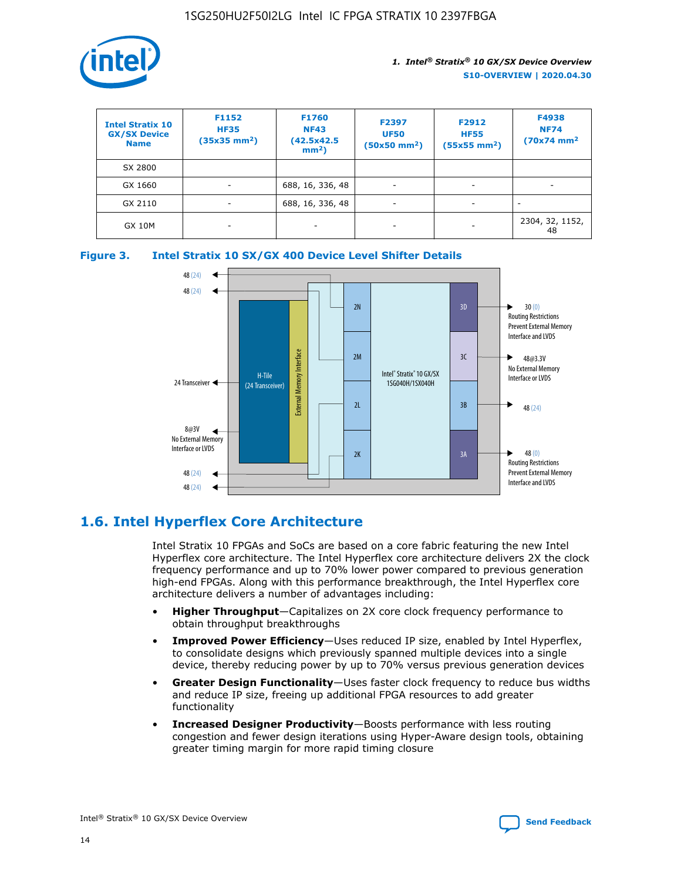

| <b>Intel Stratix 10</b><br><b>GX/SX Device</b><br><b>Name</b> | F1152<br><b>HF35</b><br>$(35x35)$ mm <sup>2</sup> ) | <b>F1760</b><br><b>NF43</b><br>(42.5x42.5<br>$mm2$ ) | F2397<br><b>UF50</b><br>$(50x50 \text{ mm}^2)$ | F2912<br><b>HF55</b><br>$(55x55$ mm <sup>2</sup> ) | F4938<br><b>NF74</b><br>$(70x74)$ mm <sup>2</sup> |
|---------------------------------------------------------------|-----------------------------------------------------|------------------------------------------------------|------------------------------------------------|----------------------------------------------------|---------------------------------------------------|
| SX 2800                                                       |                                                     |                                                      |                                                |                                                    |                                                   |
| GX 1660                                                       | ٠                                                   | 688, 16, 336, 48                                     | ٠                                              |                                                    |                                                   |
| GX 2110                                                       | -                                                   | 688, 16, 336, 48                                     | $\overline{\phantom{a}}$                       |                                                    |                                                   |
| <b>GX 10M</b>                                                 | ۰                                                   |                                                      |                                                |                                                    | 2304, 32, 1152,<br>48                             |





## **1.6. Intel Hyperflex Core Architecture**

Intel Stratix 10 FPGAs and SoCs are based on a core fabric featuring the new Intel Hyperflex core architecture. The Intel Hyperflex core architecture delivers 2X the clock frequency performance and up to 70% lower power compared to previous generation high-end FPGAs. Along with this performance breakthrough, the Intel Hyperflex core architecture delivers a number of advantages including:

- **Higher Throughput**—Capitalizes on 2X core clock frequency performance to obtain throughput breakthroughs
- **Improved Power Efficiency**—Uses reduced IP size, enabled by Intel Hyperflex, to consolidate designs which previously spanned multiple devices into a single device, thereby reducing power by up to 70% versus previous generation devices
- **Greater Design Functionality**—Uses faster clock frequency to reduce bus widths and reduce IP size, freeing up additional FPGA resources to add greater functionality
- **Increased Designer Productivity**—Boosts performance with less routing congestion and fewer design iterations using Hyper-Aware design tools, obtaining greater timing margin for more rapid timing closure

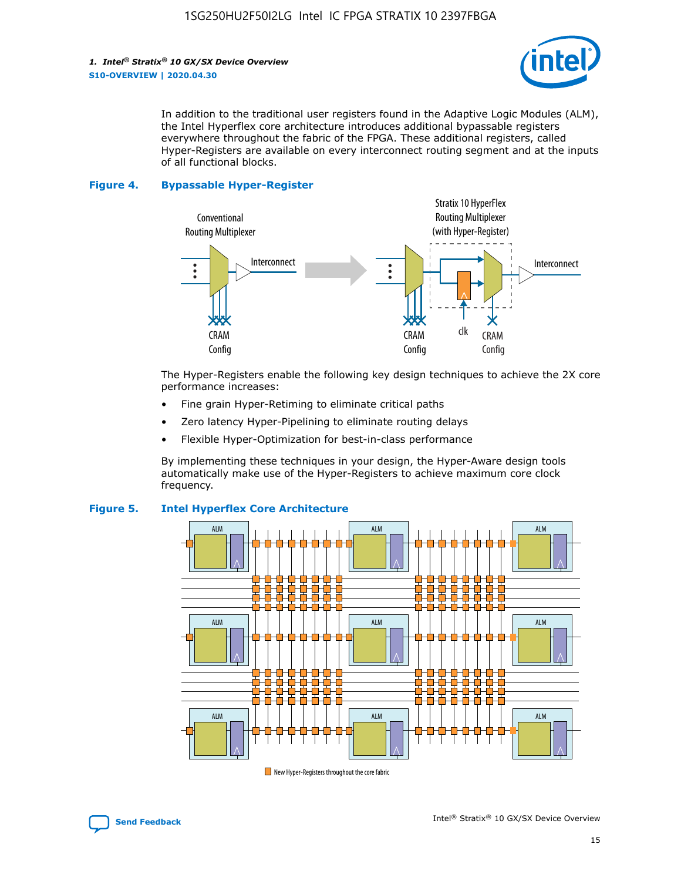

In addition to the traditional user registers found in the Adaptive Logic Modules (ALM), the Intel Hyperflex core architecture introduces additional bypassable registers everywhere throughout the fabric of the FPGA. These additional registers, called Hyper-Registers are available on every interconnect routing segment and at the inputs of all functional blocks.

#### **Figure 4. Bypassable Hyper-Register**



The Hyper-Registers enable the following key design techniques to achieve the 2X core performance increases:

- Fine grain Hyper-Retiming to eliminate critical paths
- Zero latency Hyper-Pipelining to eliminate routing delays
- Flexible Hyper-Optimization for best-in-class performance

By implementing these techniques in your design, the Hyper-Aware design tools automatically make use of the Hyper-Registers to achieve maximum core clock frequency.



## **Figure 5. Intel Hyperflex Core Architecture**

New Hyper-Registers throughout the core fabric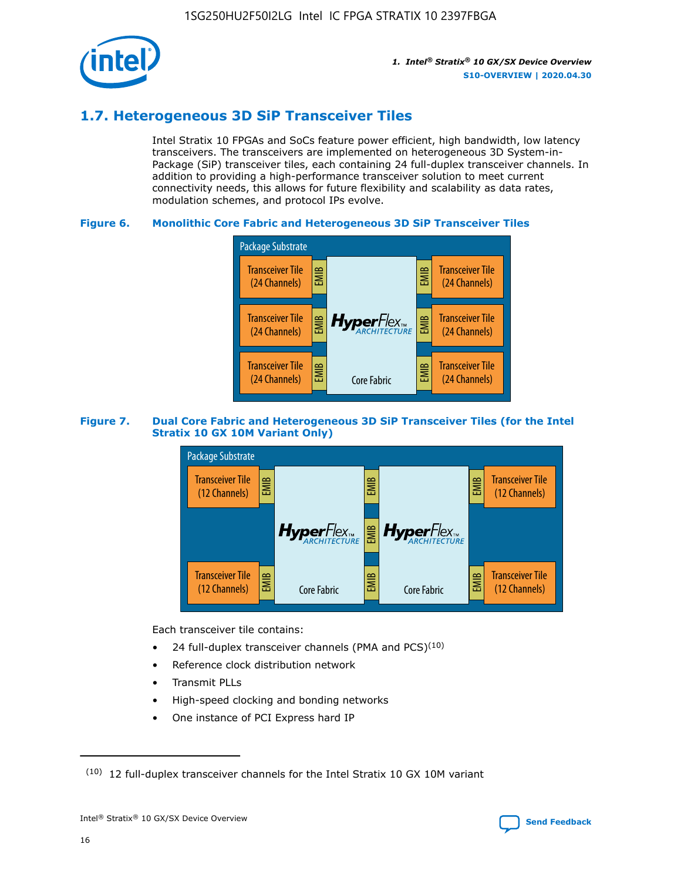

## **1.7. Heterogeneous 3D SiP Transceiver Tiles**

Intel Stratix 10 FPGAs and SoCs feature power efficient, high bandwidth, low latency transceivers. The transceivers are implemented on heterogeneous 3D System-in-Package (SiP) transceiver tiles, each containing 24 full-duplex transceiver channels. In addition to providing a high-performance transceiver solution to meet current connectivity needs, this allows for future flexibility and scalability as data rates, modulation schemes, and protocol IPs evolve.

## **Figure 6. Monolithic Core Fabric and Heterogeneous 3D SiP Transceiver Tiles**



## **Figure 7. Dual Core Fabric and Heterogeneous 3D SiP Transceiver Tiles (for the Intel Stratix 10 GX 10M Variant Only)**



Each transceiver tile contains:

- 24 full-duplex transceiver channels (PMA and PCS) $(10)$
- Reference clock distribution network
- Transmit PLLs
- High-speed clocking and bonding networks
- One instance of PCI Express hard IP

 $(10)$  12 full-duplex transceiver channels for the Intel Stratix 10 GX 10M variant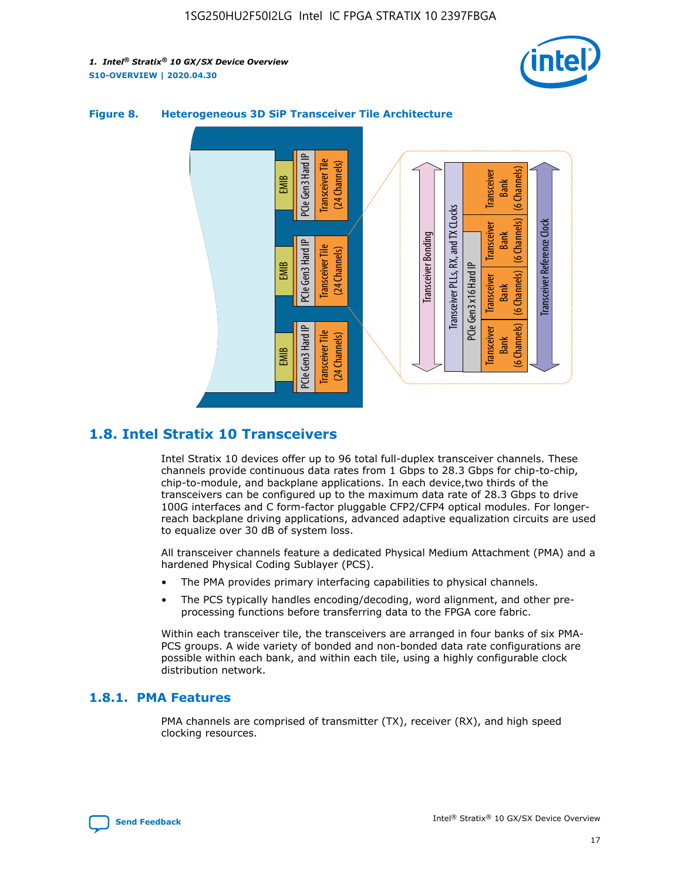



## **Figure 8. Heterogeneous 3D SiP Transceiver Tile Architecture**

## **1.8. Intel Stratix 10 Transceivers**

Intel Stratix 10 devices offer up to 96 total full-duplex transceiver channels. These channels provide continuous data rates from 1 Gbps to 28.3 Gbps for chip-to-chip, chip-to-module, and backplane applications. In each device,two thirds of the transceivers can be configured up to the maximum data rate of 28.3 Gbps to drive 100G interfaces and C form-factor pluggable CFP2/CFP4 optical modules. For longerreach backplane driving applications, advanced adaptive equalization circuits are used to equalize over 30 dB of system loss.

All transceiver channels feature a dedicated Physical Medium Attachment (PMA) and a hardened Physical Coding Sublayer (PCS).

- The PMA provides primary interfacing capabilities to physical channels.
- The PCS typically handles encoding/decoding, word alignment, and other preprocessing functions before transferring data to the FPGA core fabric.

Within each transceiver tile, the transceivers are arranged in four banks of six PMA-PCS groups. A wide variety of bonded and non-bonded data rate configurations are possible within each bank, and within each tile, using a highly configurable clock distribution network.

## **1.8.1. PMA Features**

PMA channels are comprised of transmitter (TX), receiver (RX), and high speed clocking resources.

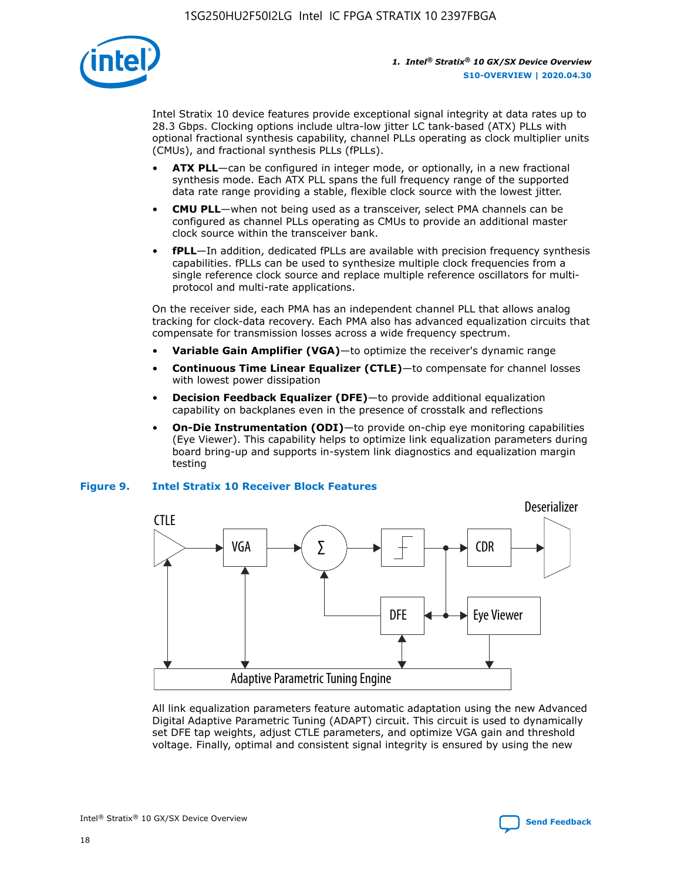

Intel Stratix 10 device features provide exceptional signal integrity at data rates up to 28.3 Gbps. Clocking options include ultra-low jitter LC tank-based (ATX) PLLs with optional fractional synthesis capability, channel PLLs operating as clock multiplier units (CMUs), and fractional synthesis PLLs (fPLLs).

- **ATX PLL**—can be configured in integer mode, or optionally, in a new fractional synthesis mode. Each ATX PLL spans the full frequency range of the supported data rate range providing a stable, flexible clock source with the lowest jitter.
- **CMU PLL**—when not being used as a transceiver, select PMA channels can be configured as channel PLLs operating as CMUs to provide an additional master clock source within the transceiver bank.
- **fPLL**—In addition, dedicated fPLLs are available with precision frequency synthesis capabilities. fPLLs can be used to synthesize multiple clock frequencies from a single reference clock source and replace multiple reference oscillators for multiprotocol and multi-rate applications.

On the receiver side, each PMA has an independent channel PLL that allows analog tracking for clock-data recovery. Each PMA also has advanced equalization circuits that compensate for transmission losses across a wide frequency spectrum.

- **Variable Gain Amplifier (VGA)**—to optimize the receiver's dynamic range
- **Continuous Time Linear Equalizer (CTLE)**—to compensate for channel losses with lowest power dissipation
- **Decision Feedback Equalizer (DFE)**—to provide additional equalization capability on backplanes even in the presence of crosstalk and reflections
- **On-Die Instrumentation (ODI)**—to provide on-chip eye monitoring capabilities (Eye Viewer). This capability helps to optimize link equalization parameters during board bring-up and supports in-system link diagnostics and equalization margin testing

## **Figure 9. Intel Stratix 10 Receiver Block Features**



All link equalization parameters feature automatic adaptation using the new Advanced Digital Adaptive Parametric Tuning (ADAPT) circuit. This circuit is used to dynamically set DFE tap weights, adjust CTLE parameters, and optimize VGA gain and threshold voltage. Finally, optimal and consistent signal integrity is ensured by using the new



Intel<sup>®</sup> Stratix<sup>®</sup> 10 GX/SX Device Overview **[Send Feedback](mailto:FPGAtechdocfeedback@intel.com?subject=Feedback%20on%20Intel%20Stratix%2010%20GX/SX%20Device%20Overview%20(S10-OVERVIEW%202020.04.30)&body=We%20appreciate%20your%20feedback.%20In%20your%20comments,%20also%20specify%20the%20page%20number%20or%20paragraph.%20Thank%20you.)** Send Feedback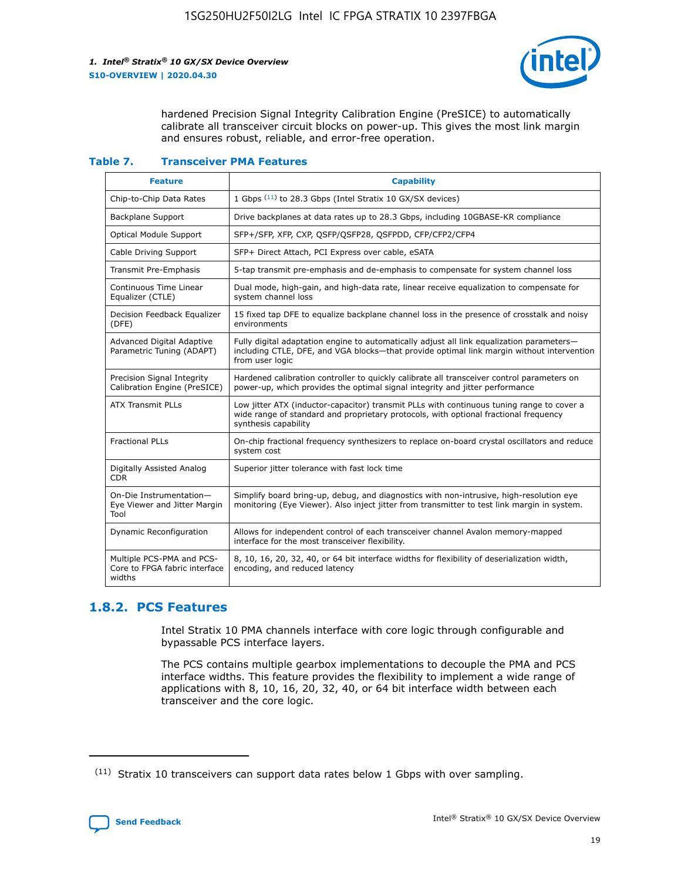

hardened Precision Signal Integrity Calibration Engine (PreSICE) to automatically calibrate all transceiver circuit blocks on power-up. This gives the most link margin and ensures robust, reliable, and error-free operation.

#### **Table 7. Transceiver PMA Features**

| <b>Feature</b>                                                       | <b>Capability</b>                                                                                                                                                                                         |
|----------------------------------------------------------------------|-----------------------------------------------------------------------------------------------------------------------------------------------------------------------------------------------------------|
| Chip-to-Chip Data Rates                                              | 1 Gbps (11) to 28.3 Gbps (Intel Stratix 10 GX/SX devices)                                                                                                                                                 |
| <b>Backplane Support</b>                                             | Drive backplanes at data rates up to 28.3 Gbps, including 10GBASE-KR compliance                                                                                                                           |
| Optical Module Support                                               | SFP+/SFP, XFP, CXP, QSFP/QSFP28, QSFPDD, CFP/CFP2/CFP4                                                                                                                                                    |
| Cable Driving Support                                                | SFP+ Direct Attach, PCI Express over cable, eSATA                                                                                                                                                         |
| <b>Transmit Pre-Emphasis</b>                                         | 5-tap transmit pre-emphasis and de-emphasis to compensate for system channel loss                                                                                                                         |
| Continuous Time Linear<br>Equalizer (CTLE)                           | Dual mode, high-gain, and high-data rate, linear receive equalization to compensate for<br>system channel loss                                                                                            |
| Decision Feedback Equalizer<br>(DFE)                                 | 15 fixed tap DFE to equalize backplane channel loss in the presence of crosstalk and noisy<br>environments                                                                                                |
| Advanced Digital Adaptive<br>Parametric Tuning (ADAPT)               | Fully digital adaptation engine to automatically adjust all link equalization parameters-<br>including CTLE, DFE, and VGA blocks-that provide optimal link margin without intervention<br>from user logic |
| Precision Signal Integrity<br>Calibration Engine (PreSICE)           | Hardened calibration controller to quickly calibrate all transceiver control parameters on<br>power-up, which provides the optimal signal integrity and jitter performance                                |
| <b>ATX Transmit PLLs</b>                                             | Low jitter ATX (inductor-capacitor) transmit PLLs with continuous tuning range to cover a<br>wide range of standard and proprietary protocols, with optional fractional frequency<br>synthesis capability |
| <b>Fractional PLLs</b>                                               | On-chip fractional frequency synthesizers to replace on-board crystal oscillators and reduce<br>system cost                                                                                               |
| Digitally Assisted Analog<br>CDR.                                    | Superior jitter tolerance with fast lock time                                                                                                                                                             |
| On-Die Instrumentation-<br>Eye Viewer and Jitter Margin<br>Tool      | Simplify board bring-up, debug, and diagnostics with non-intrusive, high-resolution eye<br>monitoring (Eye Viewer). Also inject jitter from transmitter to test link margin in system.                    |
| Dynamic Reconfiguration                                              | Allows for independent control of each transceiver channel Avalon memory-mapped<br>interface for the most transceiver flexibility.                                                                        |
| Multiple PCS-PMA and PCS-<br>Core to FPGA fabric interface<br>widths | 8, 10, 16, 20, 32, 40, or 64 bit interface widths for flexibility of deserialization width,<br>encoding, and reduced latency                                                                              |

## **1.8.2. PCS Features**

Intel Stratix 10 PMA channels interface with core logic through configurable and bypassable PCS interface layers.

The PCS contains multiple gearbox implementations to decouple the PMA and PCS interface widths. This feature provides the flexibility to implement a wide range of applications with 8, 10, 16, 20, 32, 40, or 64 bit interface width between each transceiver and the core logic.

 $(11)$  Stratix 10 transceivers can support data rates below 1 Gbps with over sampling.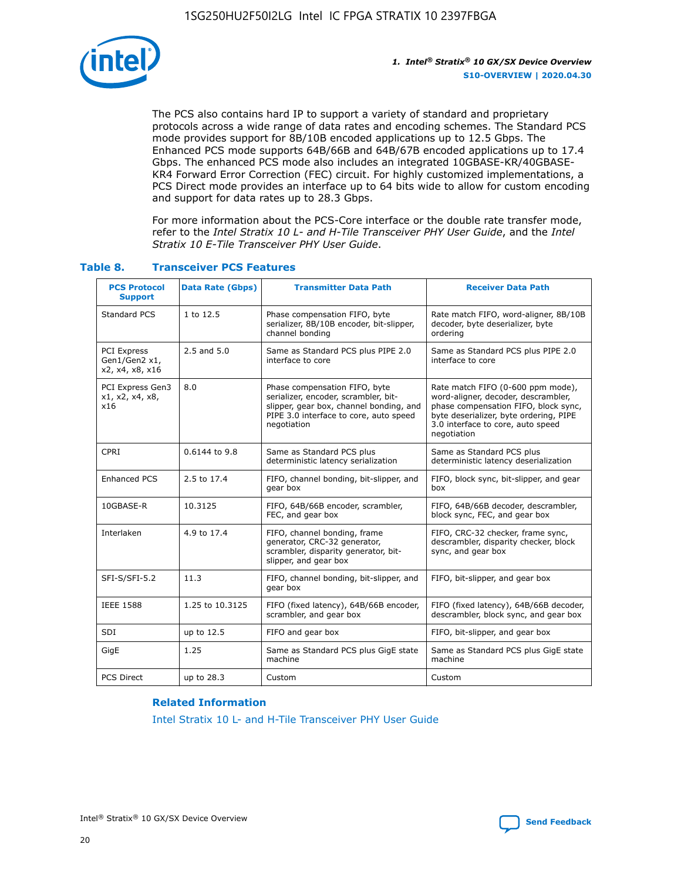

The PCS also contains hard IP to support a variety of standard and proprietary protocols across a wide range of data rates and encoding schemes. The Standard PCS mode provides support for 8B/10B encoded applications up to 12.5 Gbps. The Enhanced PCS mode supports 64B/66B and 64B/67B encoded applications up to 17.4 Gbps. The enhanced PCS mode also includes an integrated 10GBASE-KR/40GBASE-KR4 Forward Error Correction (FEC) circuit. For highly customized implementations, a PCS Direct mode provides an interface up to 64 bits wide to allow for custom encoding and support for data rates up to 28.3 Gbps.

For more information about the PCS-Core interface or the double rate transfer mode, refer to the *Intel Stratix 10 L- and H-Tile Transceiver PHY User Guide*, and the *Intel Stratix 10 E-Tile Transceiver PHY User Guide*.

| <b>PCS Protocol</b><br><b>Support</b>           | <b>Data Rate (Gbps)</b> | <b>Transmitter Data Path</b>                                                                                                                                              | <b>Receiver Data Path</b>                                                                                                                                                                                      |
|-------------------------------------------------|-------------------------|---------------------------------------------------------------------------------------------------------------------------------------------------------------------------|----------------------------------------------------------------------------------------------------------------------------------------------------------------------------------------------------------------|
| Standard PCS                                    | 1 to 12.5               | Phase compensation FIFO, byte<br>serializer, 8B/10B encoder, bit-slipper,<br>channel bonding                                                                              | Rate match FIFO, word-aligner, 8B/10B<br>decoder, byte deserializer, byte<br>ordering                                                                                                                          |
| PCI Express<br>Gen1/Gen2 x1,<br>x2, x4, x8, x16 | $2.5$ and $5.0$         | Same as Standard PCS plus PIPE 2.0<br>interface to core                                                                                                                   | Same as Standard PCS plus PIPE 2.0<br>interface to core                                                                                                                                                        |
| PCI Express Gen3<br>x1, x2, x4, x8,<br>x16      | 8.0                     | Phase compensation FIFO, byte<br>serializer, encoder, scrambler, bit-<br>slipper, gear box, channel bonding, and<br>PIPE 3.0 interface to core, auto speed<br>negotiation | Rate match FIFO (0-600 ppm mode),<br>word-aligner, decoder, descrambler,<br>phase compensation FIFO, block sync,<br>byte deserializer, byte ordering, PIPE<br>3.0 interface to core, auto speed<br>negotiation |
| CPRI                                            | 0.6144 to 9.8           | Same as Standard PCS plus<br>deterministic latency serialization                                                                                                          | Same as Standard PCS plus<br>deterministic latency deserialization                                                                                                                                             |
| <b>Enhanced PCS</b>                             | 2.5 to 17.4             | FIFO, channel bonding, bit-slipper, and<br>gear box                                                                                                                       | FIFO, block sync, bit-slipper, and gear<br>box                                                                                                                                                                 |
| 10GBASE-R                                       | 10.3125                 | FIFO, 64B/66B encoder, scrambler,<br>FEC, and gear box                                                                                                                    | FIFO, 64B/66B decoder, descrambler,<br>block sync, FEC, and gear box                                                                                                                                           |
| Interlaken                                      | 4.9 to 17.4             | FIFO, channel bonding, frame<br>generator, CRC-32 generator,<br>scrambler, disparity generator, bit-<br>slipper, and gear box                                             | FIFO, CRC-32 checker, frame sync,<br>descrambler, disparity checker, block<br>sync, and gear box                                                                                                               |
| SFI-S/SFI-5.2                                   | 11.3                    | FIFO, channel bonding, bit-slipper, and<br>gear box                                                                                                                       | FIFO, bit-slipper, and gear box                                                                                                                                                                                |
| <b>IEEE 1588</b>                                | 1.25 to 10.3125         | FIFO (fixed latency), 64B/66B encoder,<br>scrambler, and gear box                                                                                                         | FIFO (fixed latency), 64B/66B decoder,<br>descrambler, block sync, and gear box                                                                                                                                |
| SDI                                             | up to 12.5              | FIFO and gear box                                                                                                                                                         | FIFO, bit-slipper, and gear box                                                                                                                                                                                |
| GigE                                            | 1.25                    | Same as Standard PCS plus GigE state<br>machine                                                                                                                           | Same as Standard PCS plus GigE state<br>machine                                                                                                                                                                |
| <b>PCS Direct</b>                               | up to 28.3              | Custom                                                                                                                                                                    | Custom                                                                                                                                                                                                         |

## **Table 8. Transceiver PCS Features**

#### **Related Information**

[Intel Stratix 10 L- and H-Tile Transceiver PHY User Guide](https://www.altera.com/documentation/wry1479165198810.html)

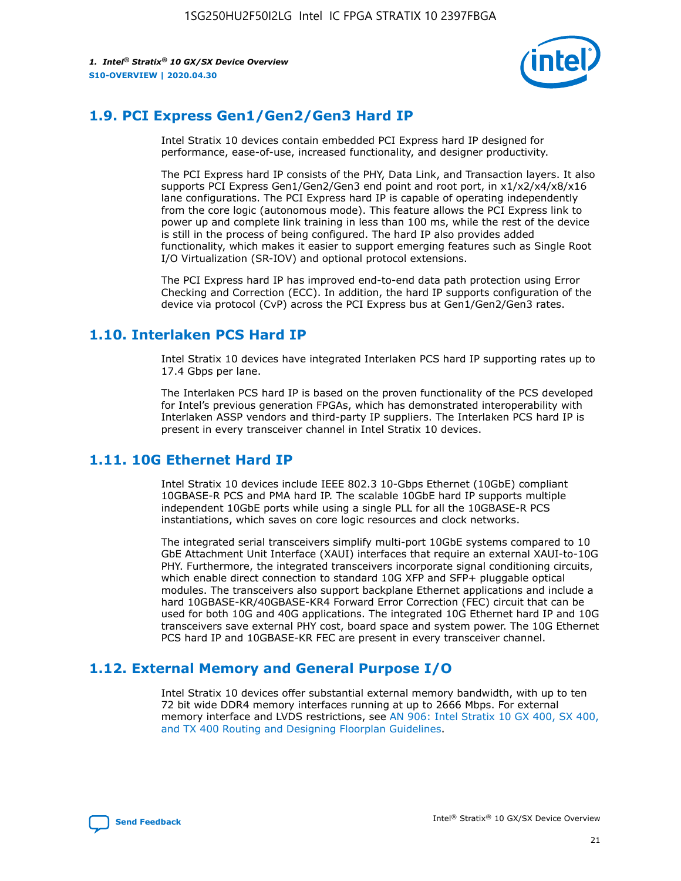

## **1.9. PCI Express Gen1/Gen2/Gen3 Hard IP**

Intel Stratix 10 devices contain embedded PCI Express hard IP designed for performance, ease-of-use, increased functionality, and designer productivity.

The PCI Express hard IP consists of the PHY, Data Link, and Transaction layers. It also supports PCI Express Gen1/Gen2/Gen3 end point and root port, in x1/x2/x4/x8/x16 lane configurations. The PCI Express hard IP is capable of operating independently from the core logic (autonomous mode). This feature allows the PCI Express link to power up and complete link training in less than 100 ms, while the rest of the device is still in the process of being configured. The hard IP also provides added functionality, which makes it easier to support emerging features such as Single Root I/O Virtualization (SR-IOV) and optional protocol extensions.

The PCI Express hard IP has improved end-to-end data path protection using Error Checking and Correction (ECC). In addition, the hard IP supports configuration of the device via protocol (CvP) across the PCI Express bus at Gen1/Gen2/Gen3 rates.

## **1.10. Interlaken PCS Hard IP**

Intel Stratix 10 devices have integrated Interlaken PCS hard IP supporting rates up to 17.4 Gbps per lane.

The Interlaken PCS hard IP is based on the proven functionality of the PCS developed for Intel's previous generation FPGAs, which has demonstrated interoperability with Interlaken ASSP vendors and third-party IP suppliers. The Interlaken PCS hard IP is present in every transceiver channel in Intel Stratix 10 devices.

## **1.11. 10G Ethernet Hard IP**

Intel Stratix 10 devices include IEEE 802.3 10-Gbps Ethernet (10GbE) compliant 10GBASE-R PCS and PMA hard IP. The scalable 10GbE hard IP supports multiple independent 10GbE ports while using a single PLL for all the 10GBASE-R PCS instantiations, which saves on core logic resources and clock networks.

The integrated serial transceivers simplify multi-port 10GbE systems compared to 10 GbE Attachment Unit Interface (XAUI) interfaces that require an external XAUI-to-10G PHY. Furthermore, the integrated transceivers incorporate signal conditioning circuits, which enable direct connection to standard 10G XFP and SFP+ pluggable optical modules. The transceivers also support backplane Ethernet applications and include a hard 10GBASE-KR/40GBASE-KR4 Forward Error Correction (FEC) circuit that can be used for both 10G and 40G applications. The integrated 10G Ethernet hard IP and 10G transceivers save external PHY cost, board space and system power. The 10G Ethernet PCS hard IP and 10GBASE-KR FEC are present in every transceiver channel.

## **1.12. External Memory and General Purpose I/O**

Intel Stratix 10 devices offer substantial external memory bandwidth, with up to ten 72 bit wide DDR4 memory interfaces running at up to 2666 Mbps. For external memory interface and LVDS restrictions, see [AN 906: Intel Stratix 10 GX 400, SX 400,](https://www.intel.com/content/www/us/en/programmable/documentation/sjf1574667190623.html#bft1574667627484) [and TX 400 Routing and Designing Floorplan Guidelines.](https://www.intel.com/content/www/us/en/programmable/documentation/sjf1574667190623.html#bft1574667627484)

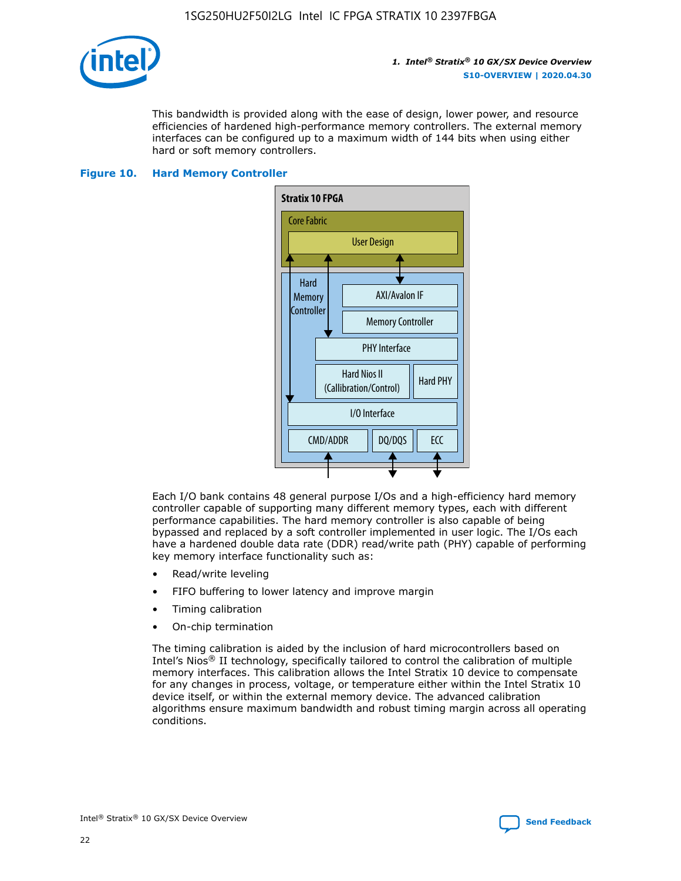

This bandwidth is provided along with the ease of design, lower power, and resource efficiencies of hardened high-performance memory controllers. The external memory interfaces can be configured up to a maximum width of 144 bits when using either hard or soft memory controllers.

#### **Figure 10. Hard Memory Controller**



Each I/O bank contains 48 general purpose I/Os and a high-efficiency hard memory controller capable of supporting many different memory types, each with different performance capabilities. The hard memory controller is also capable of being bypassed and replaced by a soft controller implemented in user logic. The I/Os each have a hardened double data rate (DDR) read/write path (PHY) capable of performing key memory interface functionality such as:

- Read/write leveling
- FIFO buffering to lower latency and improve margin
- Timing calibration
- On-chip termination

The timing calibration is aided by the inclusion of hard microcontrollers based on Intel's Nios® II technology, specifically tailored to control the calibration of multiple memory interfaces. This calibration allows the Intel Stratix 10 device to compensate for any changes in process, voltage, or temperature either within the Intel Stratix 10 device itself, or within the external memory device. The advanced calibration algorithms ensure maximum bandwidth and robust timing margin across all operating conditions.

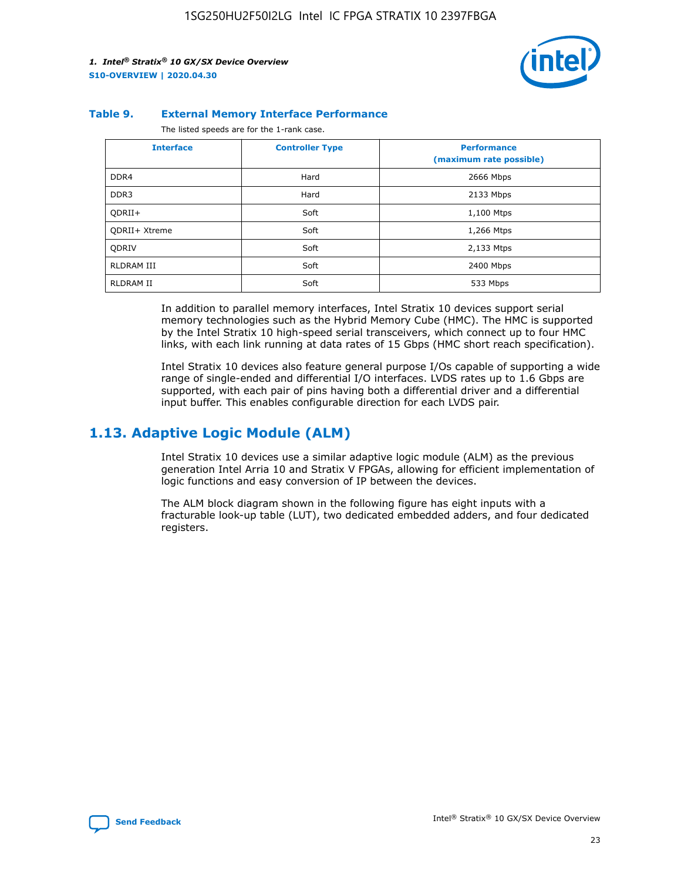

#### **Table 9. External Memory Interface Performance**

The listed speeds are for the 1-rank case.

| <b>Interface</b>  | <b>Controller Type</b> | <b>Performance</b><br>(maximum rate possible) |
|-------------------|------------------------|-----------------------------------------------|
| DDR4              | Hard                   | 2666 Mbps                                     |
| DDR <sub>3</sub>  | Hard                   | 2133 Mbps                                     |
| QDRII+            | Soft                   | 1,100 Mtps                                    |
| QDRII+ Xtreme     | Soft                   | 1,266 Mtps                                    |
| <b>ODRIV</b>      | Soft                   | 2,133 Mtps                                    |
| <b>RLDRAM III</b> | Soft                   | 2400 Mbps                                     |
| <b>RLDRAM II</b>  | Soft                   | 533 Mbps                                      |

In addition to parallel memory interfaces, Intel Stratix 10 devices support serial memory technologies such as the Hybrid Memory Cube (HMC). The HMC is supported by the Intel Stratix 10 high-speed serial transceivers, which connect up to four HMC links, with each link running at data rates of 15 Gbps (HMC short reach specification).

Intel Stratix 10 devices also feature general purpose I/Os capable of supporting a wide range of single-ended and differential I/O interfaces. LVDS rates up to 1.6 Gbps are supported, with each pair of pins having both a differential driver and a differential input buffer. This enables configurable direction for each LVDS pair.

## **1.13. Adaptive Logic Module (ALM)**

Intel Stratix 10 devices use a similar adaptive logic module (ALM) as the previous generation Intel Arria 10 and Stratix V FPGAs, allowing for efficient implementation of logic functions and easy conversion of IP between the devices.

The ALM block diagram shown in the following figure has eight inputs with a fracturable look-up table (LUT), two dedicated embedded adders, and four dedicated registers.

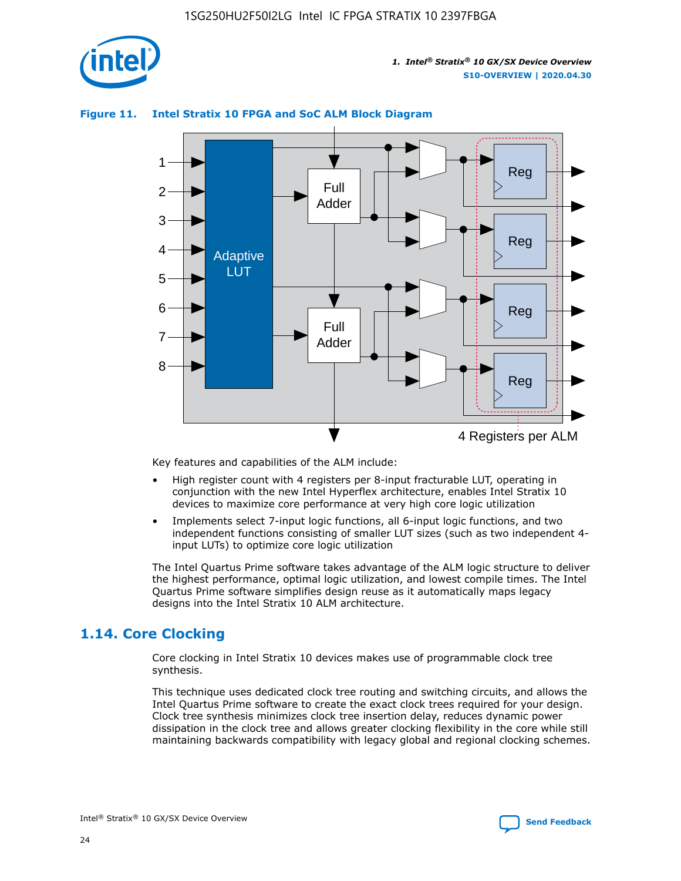

## **Figure 11. Intel Stratix 10 FPGA and SoC ALM Block Diagram**



Key features and capabilities of the ALM include:

- High register count with 4 registers per 8-input fracturable LUT, operating in conjunction with the new Intel Hyperflex architecture, enables Intel Stratix 10 devices to maximize core performance at very high core logic utilization
- Implements select 7-input logic functions, all 6-input logic functions, and two independent functions consisting of smaller LUT sizes (such as two independent 4 input LUTs) to optimize core logic utilization

The Intel Quartus Prime software takes advantage of the ALM logic structure to deliver the highest performance, optimal logic utilization, and lowest compile times. The Intel Quartus Prime software simplifies design reuse as it automatically maps legacy designs into the Intel Stratix 10 ALM architecture.

## **1.14. Core Clocking**

Core clocking in Intel Stratix 10 devices makes use of programmable clock tree synthesis.

This technique uses dedicated clock tree routing and switching circuits, and allows the Intel Quartus Prime software to create the exact clock trees required for your design. Clock tree synthesis minimizes clock tree insertion delay, reduces dynamic power dissipation in the clock tree and allows greater clocking flexibility in the core while still maintaining backwards compatibility with legacy global and regional clocking schemes.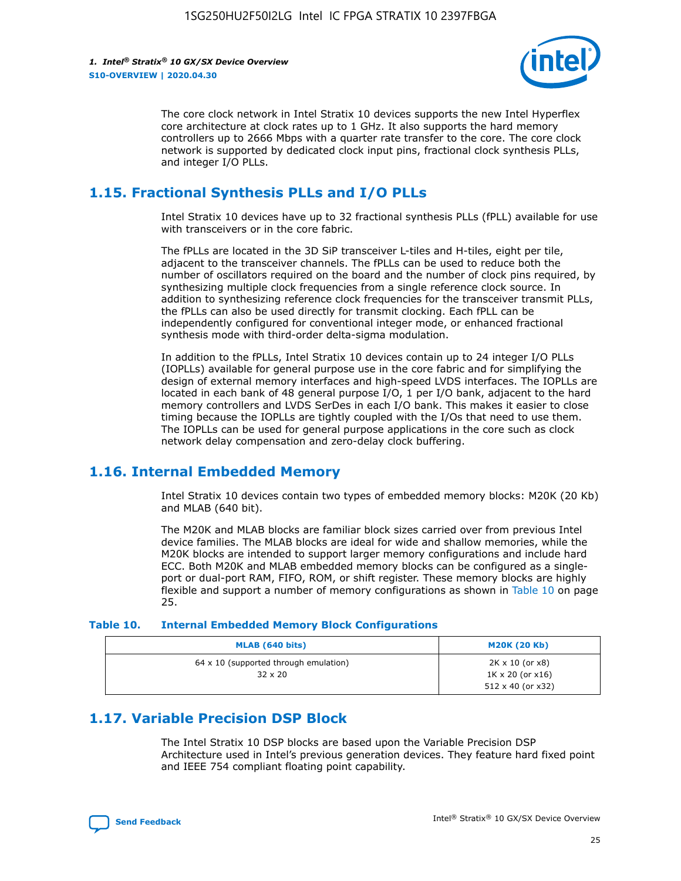

The core clock network in Intel Stratix 10 devices supports the new Intel Hyperflex core architecture at clock rates up to 1 GHz. It also supports the hard memory controllers up to 2666 Mbps with a quarter rate transfer to the core. The core clock network is supported by dedicated clock input pins, fractional clock synthesis PLLs, and integer I/O PLLs.

## **1.15. Fractional Synthesis PLLs and I/O PLLs**

Intel Stratix 10 devices have up to 32 fractional synthesis PLLs (fPLL) available for use with transceivers or in the core fabric.

The fPLLs are located in the 3D SiP transceiver L-tiles and H-tiles, eight per tile, adjacent to the transceiver channels. The fPLLs can be used to reduce both the number of oscillators required on the board and the number of clock pins required, by synthesizing multiple clock frequencies from a single reference clock source. In addition to synthesizing reference clock frequencies for the transceiver transmit PLLs, the fPLLs can also be used directly for transmit clocking. Each fPLL can be independently configured for conventional integer mode, or enhanced fractional synthesis mode with third-order delta-sigma modulation.

In addition to the fPLLs, Intel Stratix 10 devices contain up to 24 integer I/O PLLs (IOPLLs) available for general purpose use in the core fabric and for simplifying the design of external memory interfaces and high-speed LVDS interfaces. The IOPLLs are located in each bank of 48 general purpose I/O, 1 per I/O bank, adjacent to the hard memory controllers and LVDS SerDes in each I/O bank. This makes it easier to close timing because the IOPLLs are tightly coupled with the I/Os that need to use them. The IOPLLs can be used for general purpose applications in the core such as clock network delay compensation and zero-delay clock buffering.

## **1.16. Internal Embedded Memory**

Intel Stratix 10 devices contain two types of embedded memory blocks: M20K (20 Kb) and MLAB (640 bit).

The M20K and MLAB blocks are familiar block sizes carried over from previous Intel device families. The MLAB blocks are ideal for wide and shallow memories, while the M20K blocks are intended to support larger memory configurations and include hard ECC. Both M20K and MLAB embedded memory blocks can be configured as a singleport or dual-port RAM, FIFO, ROM, or shift register. These memory blocks are highly flexible and support a number of memory configurations as shown in Table 10 on page 25.

#### **Table 10. Internal Embedded Memory Block Configurations**

| MLAB (640 bits)                                                | <b>M20K (20 Kb)</b>                                                          |
|----------------------------------------------------------------|------------------------------------------------------------------------------|
| $64 \times 10$ (supported through emulation)<br>$32 \times 20$ | 2K x 10 (or x8)<br>$1K \times 20$ (or $x16$ )<br>$512 \times 40$ (or $x32$ ) |

## **1.17. Variable Precision DSP Block**

The Intel Stratix 10 DSP blocks are based upon the Variable Precision DSP Architecture used in Intel's previous generation devices. They feature hard fixed point and IEEE 754 compliant floating point capability.

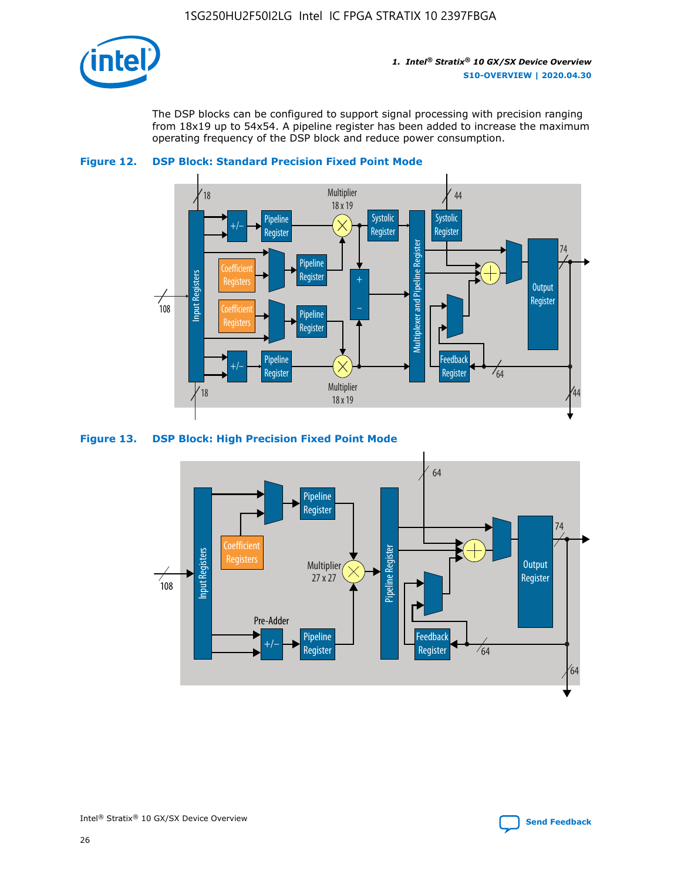

The DSP blocks can be configured to support signal processing with precision ranging from 18x19 up to 54x54. A pipeline register has been added to increase the maximum operating frequency of the DSP block and reduce power consumption.



#### **Figure 12. DSP Block: Standard Precision Fixed Point Mode**

#### **Figure 13. DSP Block: High Precision Fixed Point Mode**

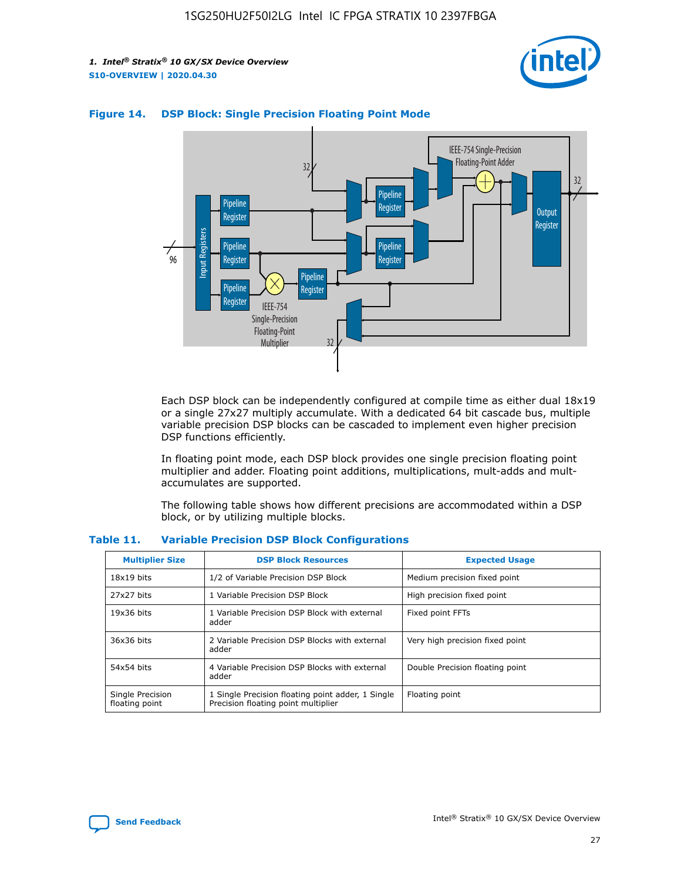



## **Figure 14. DSP Block: Single Precision Floating Point Mode**

Each DSP block can be independently configured at compile time as either dual 18x19 or a single 27x27 multiply accumulate. With a dedicated 64 bit cascade bus, multiple variable precision DSP blocks can be cascaded to implement even higher precision DSP functions efficiently.

In floating point mode, each DSP block provides one single precision floating point multiplier and adder. Floating point additions, multiplications, mult-adds and multaccumulates are supported.

The following table shows how different precisions are accommodated within a DSP block, or by utilizing multiple blocks.

| <b>Multiplier Size</b>             | <b>DSP Block Resources</b>                                                               | <b>Expected Usage</b>           |
|------------------------------------|------------------------------------------------------------------------------------------|---------------------------------|
| $18x19$ bits                       | 1/2 of Variable Precision DSP Block                                                      | Medium precision fixed point    |
| 27x27 bits                         | 1 Variable Precision DSP Block                                                           | High precision fixed point      |
| $19x36$ bits                       | 1 Variable Precision DSP Block with external<br>adder                                    | Fixed point FFTs                |
| 36x36 bits                         | 2 Variable Precision DSP Blocks with external<br>adder                                   | Very high precision fixed point |
| 54x54 bits                         | 4 Variable Precision DSP Blocks with external<br>adder                                   | Double Precision floating point |
| Single Precision<br>floating point | 1 Single Precision floating point adder, 1 Single<br>Precision floating point multiplier | Floating point                  |

#### **Table 11. Variable Precision DSP Block Configurations**

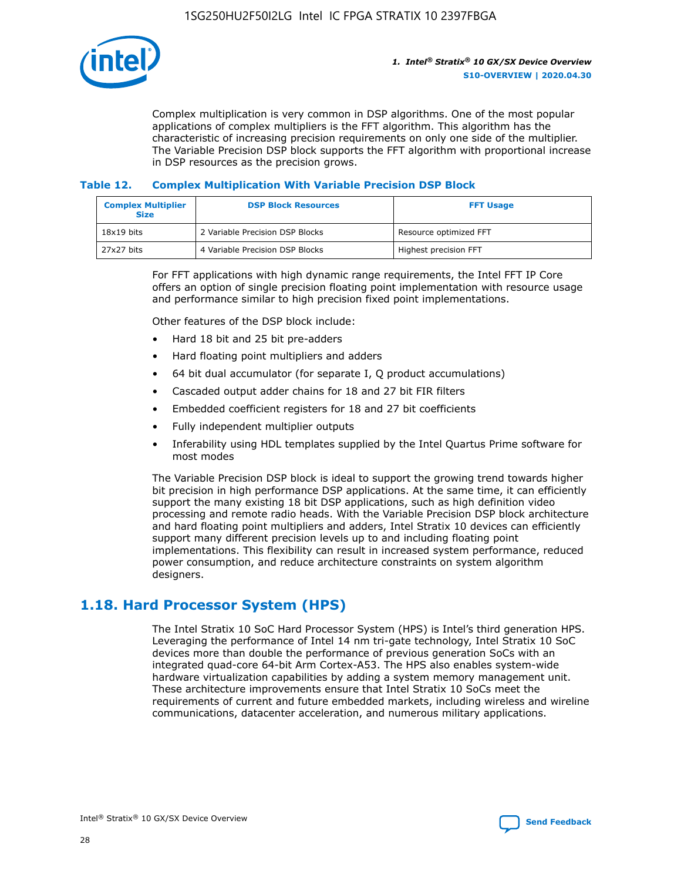

Complex multiplication is very common in DSP algorithms. One of the most popular applications of complex multipliers is the FFT algorithm. This algorithm has the characteristic of increasing precision requirements on only one side of the multiplier. The Variable Precision DSP block supports the FFT algorithm with proportional increase in DSP resources as the precision grows.

## **Table 12. Complex Multiplication With Variable Precision DSP Block**

| <b>Complex Multiplier</b><br><b>Size</b> | <b>DSP Block Resources</b>      | <b>FFT Usage</b>       |
|------------------------------------------|---------------------------------|------------------------|
| $18x19$ bits                             | 2 Variable Precision DSP Blocks | Resource optimized FFT |
| 27x27 bits                               | 4 Variable Precision DSP Blocks | Highest precision FFT  |

For FFT applications with high dynamic range requirements, the Intel FFT IP Core offers an option of single precision floating point implementation with resource usage and performance similar to high precision fixed point implementations.

Other features of the DSP block include:

- Hard 18 bit and 25 bit pre-adders
- Hard floating point multipliers and adders
- 64 bit dual accumulator (for separate I, Q product accumulations)
- Cascaded output adder chains for 18 and 27 bit FIR filters
- Embedded coefficient registers for 18 and 27 bit coefficients
- Fully independent multiplier outputs
- Inferability using HDL templates supplied by the Intel Quartus Prime software for most modes

The Variable Precision DSP block is ideal to support the growing trend towards higher bit precision in high performance DSP applications. At the same time, it can efficiently support the many existing 18 bit DSP applications, such as high definition video processing and remote radio heads. With the Variable Precision DSP block architecture and hard floating point multipliers and adders, Intel Stratix 10 devices can efficiently support many different precision levels up to and including floating point implementations. This flexibility can result in increased system performance, reduced power consumption, and reduce architecture constraints on system algorithm designers.

## **1.18. Hard Processor System (HPS)**

The Intel Stratix 10 SoC Hard Processor System (HPS) is Intel's third generation HPS. Leveraging the performance of Intel 14 nm tri-gate technology, Intel Stratix 10 SoC devices more than double the performance of previous generation SoCs with an integrated quad-core 64-bit Arm Cortex-A53. The HPS also enables system-wide hardware virtualization capabilities by adding a system memory management unit. These architecture improvements ensure that Intel Stratix 10 SoCs meet the requirements of current and future embedded markets, including wireless and wireline communications, datacenter acceleration, and numerous military applications.

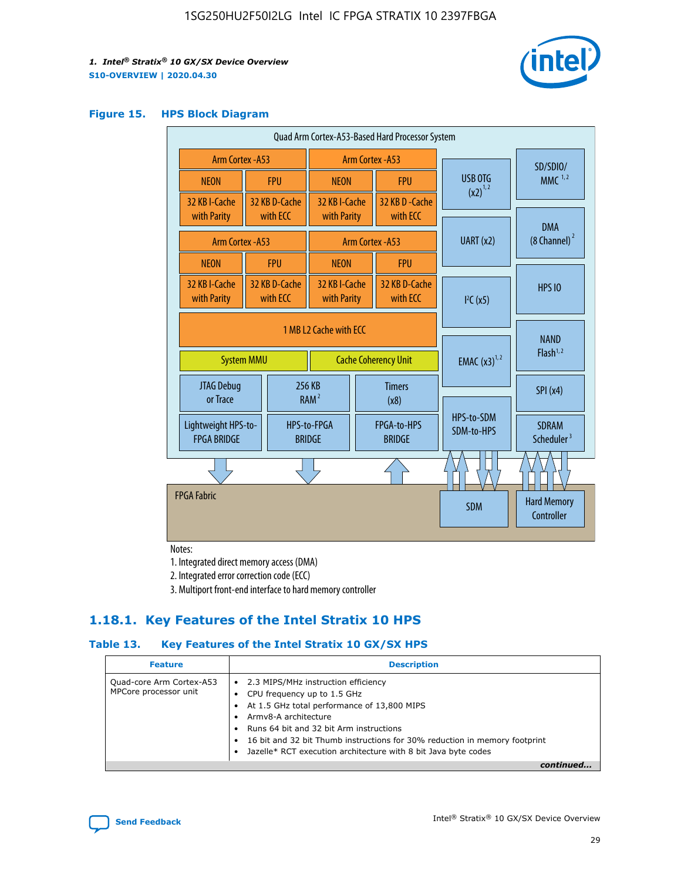

#### **Figure 15. HPS Block Diagram**

| Quad Arm Cortex-A53-Based Hard Processor System |                                      |                                                       |                                                     |                          |                                     |                          |                                        |
|-------------------------------------------------|--------------------------------------|-------------------------------------------------------|-----------------------------------------------------|--------------------------|-------------------------------------|--------------------------|----------------------------------------|
|                                                 | Arm Cortex - A53<br>Arm Cortex - A53 |                                                       |                                                     |                          |                                     | SD/SDIO/                 |                                        |
| <b>NEON</b>                                     |                                      | <b>FPU</b>                                            | <b>NEON</b>                                         |                          | <b>FPU</b>                          | <b>USB OTG</b>           | $MMC$ <sup>1,2</sup>                   |
| 32 KB I-Cache<br>with Parity                    |                                      | 32 KB D-Cache<br>with ECC                             | 32 KB I-Cache<br>with Parity                        |                          | 32 KB D-Cache<br>with ECC           | $(x2)^{1,2}$             |                                        |
| Arm Cortex - A53                                |                                      |                                                       |                                                     |                          | Arm Cortex - A53                    | UART (x2)                | <b>DMA</b><br>$(8 \text{ Channel})^2$  |
| <b>NEON</b>                                     |                                      | <b>FPU</b>                                            | <b>NEON</b>                                         |                          | <b>FPU</b>                          |                          |                                        |
| 32 KB I-Cache<br>with Parity                    |                                      | 32 KB D-Cache<br>with ECC                             | 32 KB I-Cache<br>with Parity<br>with ECC            |                          | 32 KB D-Cache                       | I <sup>2</sup> C(x5)     | <b>HPS 10</b>                          |
| <b>System MMU</b>                               |                                      | 1 MB L2 Cache with ECC<br><b>Cache Coherency Unit</b> |                                                     | <b>EMAC</b> $(x3)^{1,2}$ | <b>NAND</b><br>Flash <sup>1,2</sup> |                          |                                        |
| JTAG Debug<br>or Trace                          |                                      |                                                       | 256 KB<br><b>Timers</b><br>RAM <sup>2</sup><br>(x8) |                          |                                     | SPI(x4)                  |                                        |
| Lightweight HPS-to-<br><b>FPGA BRIDGE</b>       |                                      |                                                       | HPS-to-FPGA<br><b>BRIDGE</b>                        |                          | FPGA-to-HPS<br><b>BRIDGE</b>        | HPS-to-SDM<br>SDM-to-HPS | <b>SDRAM</b><br>Scheduler <sup>3</sup> |
|                                                 |                                      |                                                       |                                                     |                          |                                     |                          |                                        |
| <b>FPGA Fabric</b>                              |                                      |                                                       |                                                     |                          |                                     | <b>SDM</b>               | <b>Hard Memory</b><br>Controller       |

Notes:

1. Integrated direct memory access (DMA)

2. Integrated error correction code (ECC)

3. Multiport front-end interface to hard memory controller

## **1.18.1. Key Features of the Intel Stratix 10 HPS**

## **Table 13. Key Features of the Intel Stratix 10 GX/SX HPS**

| <b>Feature</b>                                    | <b>Description</b>                                                                                                                                                                                                                                                                                                                                     |
|---------------------------------------------------|--------------------------------------------------------------------------------------------------------------------------------------------------------------------------------------------------------------------------------------------------------------------------------------------------------------------------------------------------------|
| Quad-core Arm Cortex-A53<br>MPCore processor unit | 2.3 MIPS/MHz instruction efficiency<br>$\bullet$<br>CPU frequency up to 1.5 GHz<br>٠<br>At 1.5 GHz total performance of 13,800 MIPS<br>Army8-A architecture<br>Runs 64 bit and 32 bit Arm instructions<br>16 bit and 32 bit Thumb instructions for 30% reduction in memory footprint<br>Jazelle* RCT execution architecture with 8 bit Java byte codes |
|                                                   |                                                                                                                                                                                                                                                                                                                                                        |

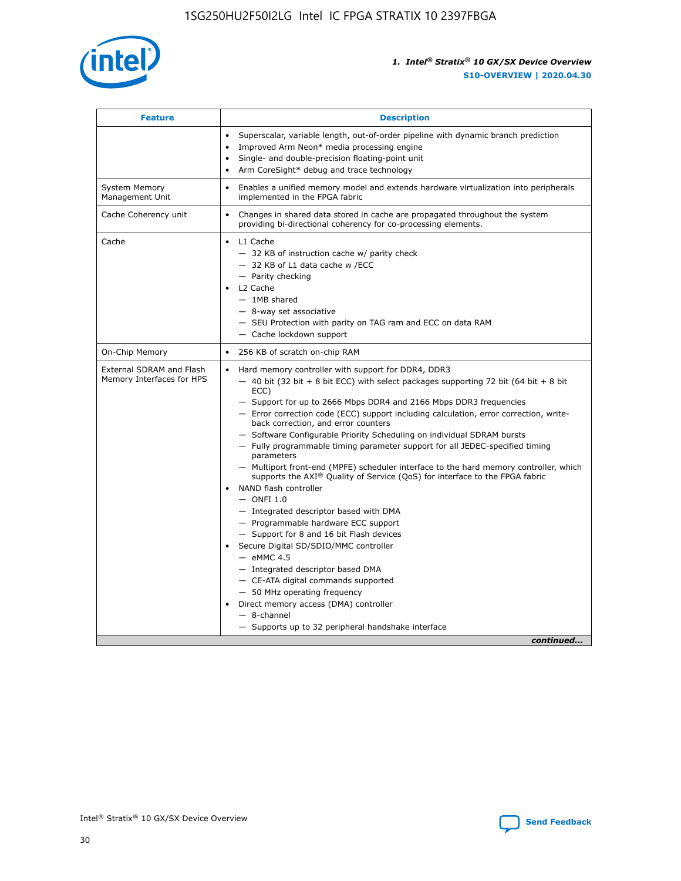

| <b>Feature</b>                                        | <b>Description</b>                                                                                                                                                                                                                                                                                                                                                                                                                                                                                                                                                                                                                                                                                                                                                                                                                                                                                                                                                                                                                                                                                                                                                                                                     |
|-------------------------------------------------------|------------------------------------------------------------------------------------------------------------------------------------------------------------------------------------------------------------------------------------------------------------------------------------------------------------------------------------------------------------------------------------------------------------------------------------------------------------------------------------------------------------------------------------------------------------------------------------------------------------------------------------------------------------------------------------------------------------------------------------------------------------------------------------------------------------------------------------------------------------------------------------------------------------------------------------------------------------------------------------------------------------------------------------------------------------------------------------------------------------------------------------------------------------------------------------------------------------------------|
|                                                       | Superscalar, variable length, out-of-order pipeline with dynamic branch prediction<br>Improved Arm Neon* media processing engine<br>$\bullet$<br>Single- and double-precision floating-point unit<br>Arm CoreSight* debug and trace technology<br>$\bullet$                                                                                                                                                                                                                                                                                                                                                                                                                                                                                                                                                                                                                                                                                                                                                                                                                                                                                                                                                            |
| <b>System Memory</b><br>Management Unit               | Enables a unified memory model and extends hardware virtualization into peripherals<br>$\bullet$<br>implemented in the FPGA fabric                                                                                                                                                                                                                                                                                                                                                                                                                                                                                                                                                                                                                                                                                                                                                                                                                                                                                                                                                                                                                                                                                     |
| Cache Coherency unit                                  | $\bullet$<br>Changes in shared data stored in cache are propagated throughout the system<br>providing bi-directional coherency for co-processing elements.                                                                                                                                                                                                                                                                                                                                                                                                                                                                                                                                                                                                                                                                                                                                                                                                                                                                                                                                                                                                                                                             |
| Cache                                                 | L1 Cache<br>$\bullet$<br>- 32 KB of instruction cache w/ parity check<br>- 32 KB of L1 data cache w /ECC<br>- Parity checking<br>L2 Cache<br>$-$ 1MB shared<br>- 8-way set associative<br>- SEU Protection with parity on TAG ram and ECC on data RAM<br>- Cache lockdown support                                                                                                                                                                                                                                                                                                                                                                                                                                                                                                                                                                                                                                                                                                                                                                                                                                                                                                                                      |
| On-Chip Memory                                        | 256 KB of scratch on-chip RAM<br>$\bullet$                                                                                                                                                                                                                                                                                                                                                                                                                                                                                                                                                                                                                                                                                                                                                                                                                                                                                                                                                                                                                                                                                                                                                                             |
| External SDRAM and Flash<br>Memory Interfaces for HPS | Hard memory controller with support for DDR4, DDR3<br>$\bullet$<br>$-$ 40 bit (32 bit + 8 bit ECC) with select packages supporting 72 bit (64 bit + 8 bit<br>ECC)<br>- Support for up to 2666 Mbps DDR4 and 2166 Mbps DDR3 frequencies<br>- Error correction code (ECC) support including calculation, error correction, write-<br>back correction, and error counters<br>- Software Configurable Priority Scheduling on individual SDRAM bursts<br>- Fully programmable timing parameter support for all JEDEC-specified timing<br>parameters<br>- Multiport front-end (MPFE) scheduler interface to the hard memory controller, which<br>supports the $AXI^{\circledR}$ Quality of Service (QoS) for interface to the FPGA fabric<br>NAND flash controller<br>$-$ ONFI 1.0<br>- Integrated descriptor based with DMA<br>- Programmable hardware ECC support<br>- Support for 8 and 16 bit Flash devices<br>Secure Digital SD/SDIO/MMC controller<br>$-$ eMMC 4.5<br>- Integrated descriptor based DMA<br>- CE-ATA digital commands supported<br>- 50 MHz operating frequency<br>Direct memory access (DMA) controller<br>$\bullet$<br>- 8-channel<br>- Supports up to 32 peripheral handshake interface<br>continued |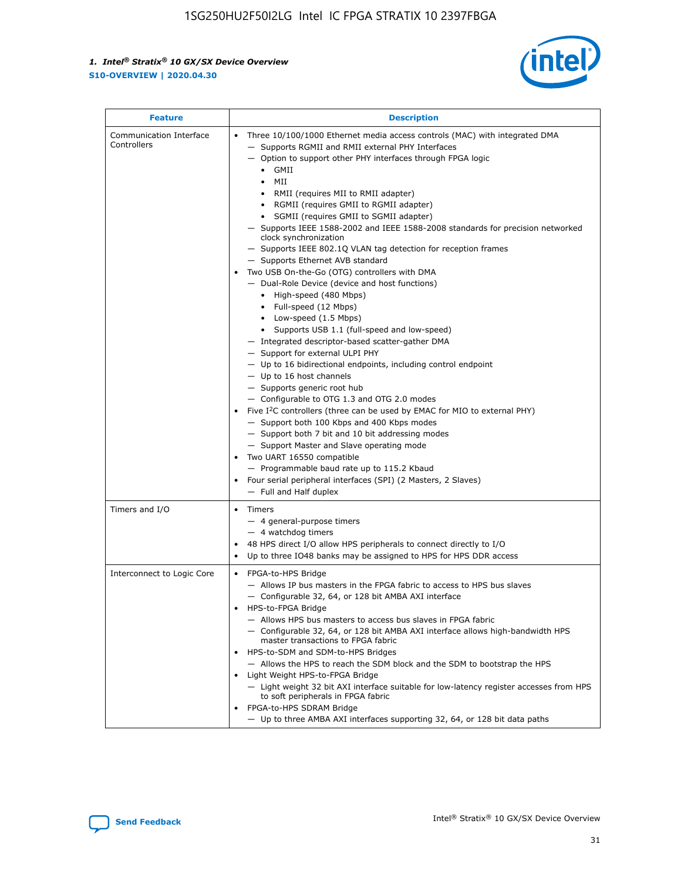

| <b>Feature</b>                         | <b>Description</b>                                                                                                                                                                                                                                                                                                                                                                                                                                                                                                                                                                                                                                                                                                                                                                                                                                                                                                                                                                                                                                                                                                                                                                                                                                                                                                                                                                                                                                                                                                  |
|----------------------------------------|---------------------------------------------------------------------------------------------------------------------------------------------------------------------------------------------------------------------------------------------------------------------------------------------------------------------------------------------------------------------------------------------------------------------------------------------------------------------------------------------------------------------------------------------------------------------------------------------------------------------------------------------------------------------------------------------------------------------------------------------------------------------------------------------------------------------------------------------------------------------------------------------------------------------------------------------------------------------------------------------------------------------------------------------------------------------------------------------------------------------------------------------------------------------------------------------------------------------------------------------------------------------------------------------------------------------------------------------------------------------------------------------------------------------------------------------------------------------------------------------------------------------|
| Communication Interface<br>Controllers | Three 10/100/1000 Ethernet media access controls (MAC) with integrated DMA<br>$\bullet$<br>- Supports RGMII and RMII external PHY Interfaces<br>- Option to support other PHY interfaces through FPGA logic<br>GMII<br>$\bullet$<br>MII<br>$\bullet$<br>• RMII (requires MII to RMII adapter)<br>• RGMII (requires GMII to RGMII adapter)<br>• SGMII (requires GMII to SGMII adapter)<br>- Supports IEEE 1588-2002 and IEEE 1588-2008 standards for precision networked<br>clock synchronization<br>- Supports IEEE 802.1Q VLAN tag detection for reception frames<br>- Supports Ethernet AVB standard<br>Two USB On-the-Go (OTG) controllers with DMA<br>- Dual-Role Device (device and host functions)<br>• High-speed (480 Mbps)<br>• Full-speed (12 Mbps)<br>• Low-speed (1.5 Mbps)<br>• Supports USB 1.1 (full-speed and low-speed)<br>- Integrated descriptor-based scatter-gather DMA<br>- Support for external ULPI PHY<br>- Up to 16 bidirectional endpoints, including control endpoint<br>$-$ Up to 16 host channels<br>- Supports generic root hub<br>- Configurable to OTG 1.3 and OTG 2.0 modes<br>Five $I^2C$ controllers (three can be used by EMAC for MIO to external PHY)<br>- Support both 100 Kbps and 400 Kbps modes<br>- Support both 7 bit and 10 bit addressing modes<br>- Support Master and Slave operating mode<br>Two UART 16550 compatible<br>- Programmable baud rate up to 115.2 Kbaud<br>• Four serial peripheral interfaces (SPI) (2 Masters, 2 Slaves)<br>- Full and Half duplex |
| Timers and I/O                         | $\bullet$ Timers<br>- 4 general-purpose timers<br>$-4$ watchdog timers<br>48 HPS direct I/O allow HPS peripherals to connect directly to I/O<br>Up to three IO48 banks may be assigned to HPS for HPS DDR access                                                                                                                                                                                                                                                                                                                                                                                                                                                                                                                                                                                                                                                                                                                                                                                                                                                                                                                                                                                                                                                                                                                                                                                                                                                                                                    |
| Interconnect to Logic Core             | • FPGA-to-HPS Bridge<br>- Allows IP bus masters in the FPGA fabric to access to HPS bus slaves<br>- Configurable 32, 64, or 128 bit AMBA AXI interface<br>HPS-to-FPGA Bridge<br>- Allows HPS bus masters to access bus slaves in FPGA fabric<br>- Configurable 32, 64, or 128 bit AMBA AXI interface allows high-bandwidth HPS<br>master transactions to FPGA fabric<br>HPS-to-SDM and SDM-to-HPS Bridges<br>- Allows the HPS to reach the SDM block and the SDM to bootstrap the HPS<br>Light Weight HPS-to-FPGA Bridge<br>- Light weight 32 bit AXI interface suitable for low-latency register accesses from HPS<br>to soft peripherals in FPGA fabric<br>FPGA-to-HPS SDRAM Bridge<br>- Up to three AMBA AXI interfaces supporting 32, 64, or 128 bit data paths                                                                                                                                                                                                                                                                                                                                                                                                                                                                                                                                                                                                                                                                                                                                                 |

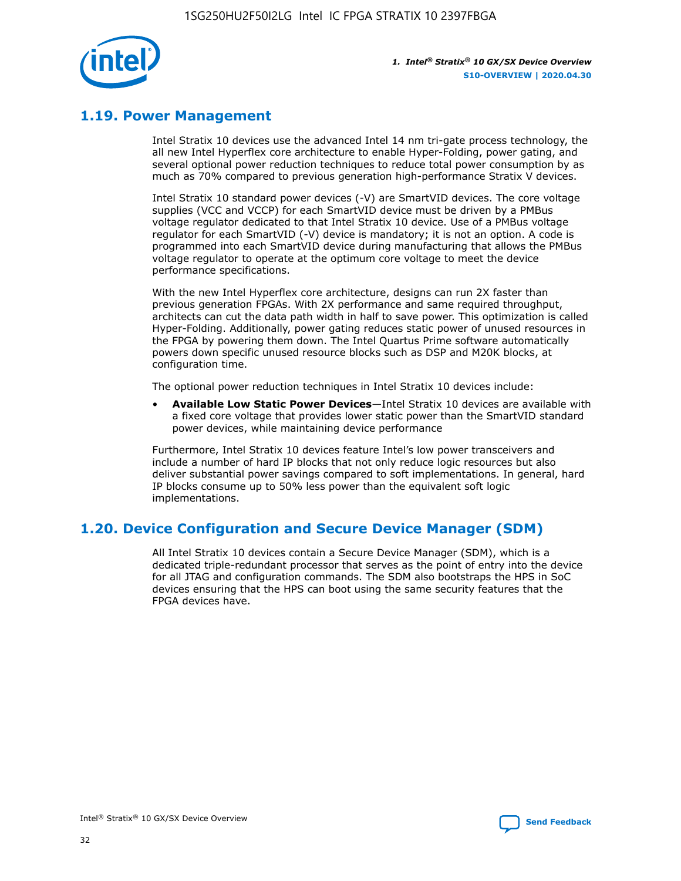

## **1.19. Power Management**

Intel Stratix 10 devices use the advanced Intel 14 nm tri-gate process technology, the all new Intel Hyperflex core architecture to enable Hyper-Folding, power gating, and several optional power reduction techniques to reduce total power consumption by as much as 70% compared to previous generation high-performance Stratix V devices.

Intel Stratix 10 standard power devices (-V) are SmartVID devices. The core voltage supplies (VCC and VCCP) for each SmartVID device must be driven by a PMBus voltage regulator dedicated to that Intel Stratix 10 device. Use of a PMBus voltage regulator for each SmartVID (-V) device is mandatory; it is not an option. A code is programmed into each SmartVID device during manufacturing that allows the PMBus voltage regulator to operate at the optimum core voltage to meet the device performance specifications.

With the new Intel Hyperflex core architecture, designs can run 2X faster than previous generation FPGAs. With 2X performance and same required throughput, architects can cut the data path width in half to save power. This optimization is called Hyper-Folding. Additionally, power gating reduces static power of unused resources in the FPGA by powering them down. The Intel Quartus Prime software automatically powers down specific unused resource blocks such as DSP and M20K blocks, at configuration time.

The optional power reduction techniques in Intel Stratix 10 devices include:

• **Available Low Static Power Devices**—Intel Stratix 10 devices are available with a fixed core voltage that provides lower static power than the SmartVID standard power devices, while maintaining device performance

Furthermore, Intel Stratix 10 devices feature Intel's low power transceivers and include a number of hard IP blocks that not only reduce logic resources but also deliver substantial power savings compared to soft implementations. In general, hard IP blocks consume up to 50% less power than the equivalent soft logic implementations.

## **1.20. Device Configuration and Secure Device Manager (SDM)**

All Intel Stratix 10 devices contain a Secure Device Manager (SDM), which is a dedicated triple-redundant processor that serves as the point of entry into the device for all JTAG and configuration commands. The SDM also bootstraps the HPS in SoC devices ensuring that the HPS can boot using the same security features that the FPGA devices have.

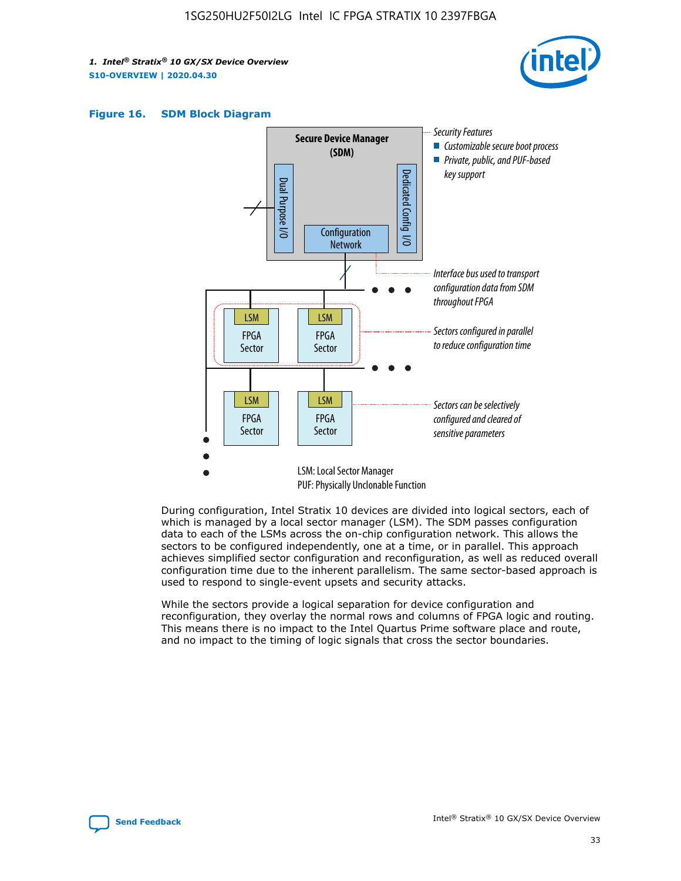





During configuration, Intel Stratix 10 devices are divided into logical sectors, each of which is managed by a local sector manager (LSM). The SDM passes configuration data to each of the LSMs across the on-chip configuration network. This allows the sectors to be configured independently, one at a time, or in parallel. This approach achieves simplified sector configuration and reconfiguration, as well as reduced overall configuration time due to the inherent parallelism. The same sector-based approach is used to respond to single-event upsets and security attacks.

While the sectors provide a logical separation for device configuration and reconfiguration, they overlay the normal rows and columns of FPGA logic and routing. This means there is no impact to the Intel Quartus Prime software place and route, and no impact to the timing of logic signals that cross the sector boundaries.

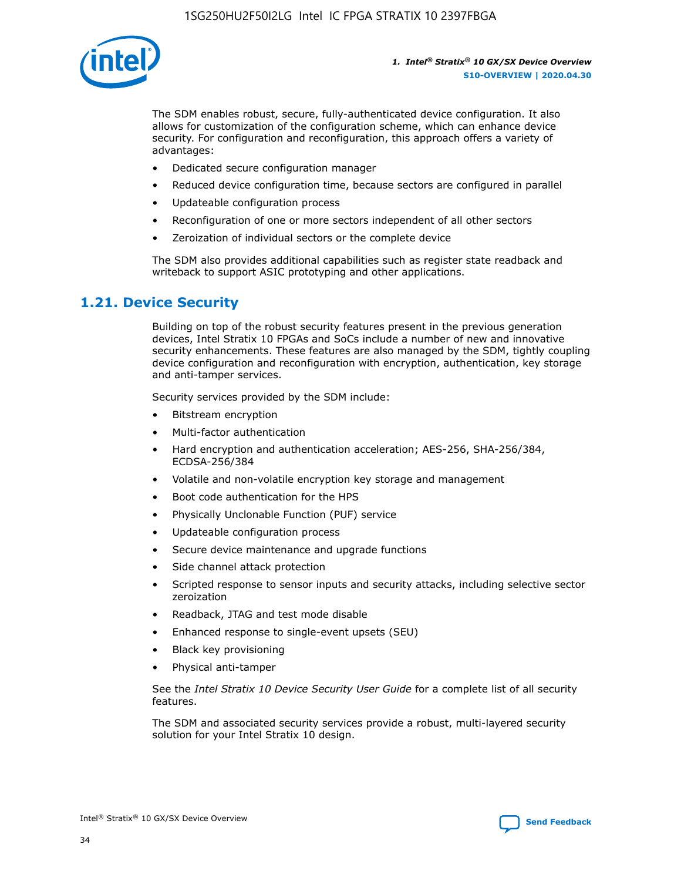

The SDM enables robust, secure, fully-authenticated device configuration. It also allows for customization of the configuration scheme, which can enhance device security. For configuration and reconfiguration, this approach offers a variety of advantages:

- Dedicated secure configuration manager
- Reduced device configuration time, because sectors are configured in parallel
- Updateable configuration process
- Reconfiguration of one or more sectors independent of all other sectors
- Zeroization of individual sectors or the complete device

The SDM also provides additional capabilities such as register state readback and writeback to support ASIC prototyping and other applications.

## **1.21. Device Security**

Building on top of the robust security features present in the previous generation devices, Intel Stratix 10 FPGAs and SoCs include a number of new and innovative security enhancements. These features are also managed by the SDM, tightly coupling device configuration and reconfiguration with encryption, authentication, key storage and anti-tamper services.

Security services provided by the SDM include:

- Bitstream encryption
- Multi-factor authentication
- Hard encryption and authentication acceleration; AES-256, SHA-256/384, ECDSA-256/384
- Volatile and non-volatile encryption key storage and management
- Boot code authentication for the HPS
- Physically Unclonable Function (PUF) service
- Updateable configuration process
- Secure device maintenance and upgrade functions
- Side channel attack protection
- Scripted response to sensor inputs and security attacks, including selective sector zeroization
- Readback, JTAG and test mode disable
- Enhanced response to single-event upsets (SEU)
- Black key provisioning
- Physical anti-tamper

See the *Intel Stratix 10 Device Security User Guide* for a complete list of all security features.

The SDM and associated security services provide a robust, multi-layered security solution for your Intel Stratix 10 design.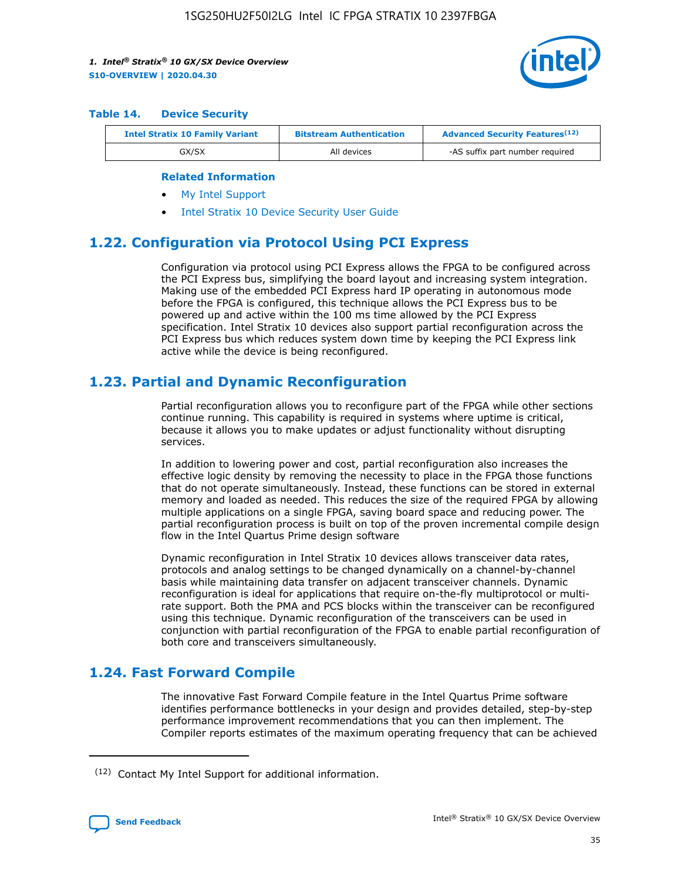

#### **Table 14. Device Security**

| <b>Intel Stratix 10 Family Variant</b> | <b>Bitstream Authentication</b> | <b>Advanced Security Features</b> <sup>(12)</sup> |
|----------------------------------------|---------------------------------|---------------------------------------------------|
| GX/SX                                  | All devices                     | -AS suffix part number required                   |

#### **Related Information**

- [My Intel Support](https://www.intel.com/content/www/us/en/programmable/my-intel/mal-home.html)
- [Intel Stratix 10 Device Security User Guide](https://www.intel.com/content/www/us/en/programmable/documentation/ndq1483601370898.html#wcd1483611014402)

## **1.22. Configuration via Protocol Using PCI Express**

Configuration via protocol using PCI Express allows the FPGA to be configured across the PCI Express bus, simplifying the board layout and increasing system integration. Making use of the embedded PCI Express hard IP operating in autonomous mode before the FPGA is configured, this technique allows the PCI Express bus to be powered up and active within the 100 ms time allowed by the PCI Express specification. Intel Stratix 10 devices also support partial reconfiguration across the PCI Express bus which reduces system down time by keeping the PCI Express link active while the device is being reconfigured.

## **1.23. Partial and Dynamic Reconfiguration**

Partial reconfiguration allows you to reconfigure part of the FPGA while other sections continue running. This capability is required in systems where uptime is critical, because it allows you to make updates or adjust functionality without disrupting services.

In addition to lowering power and cost, partial reconfiguration also increases the effective logic density by removing the necessity to place in the FPGA those functions that do not operate simultaneously. Instead, these functions can be stored in external memory and loaded as needed. This reduces the size of the required FPGA by allowing multiple applications on a single FPGA, saving board space and reducing power. The partial reconfiguration process is built on top of the proven incremental compile design flow in the Intel Quartus Prime design software

Dynamic reconfiguration in Intel Stratix 10 devices allows transceiver data rates, protocols and analog settings to be changed dynamically on a channel-by-channel basis while maintaining data transfer on adjacent transceiver channels. Dynamic reconfiguration is ideal for applications that require on-the-fly multiprotocol or multirate support. Both the PMA and PCS blocks within the transceiver can be reconfigured using this technique. Dynamic reconfiguration of the transceivers can be used in conjunction with partial reconfiguration of the FPGA to enable partial reconfiguration of both core and transceivers simultaneously.

## **1.24. Fast Forward Compile**

The innovative Fast Forward Compile feature in the Intel Quartus Prime software identifies performance bottlenecks in your design and provides detailed, step-by-step performance improvement recommendations that you can then implement. The Compiler reports estimates of the maximum operating frequency that can be achieved

<sup>(12)</sup> Contact My Intel Support for additional information.

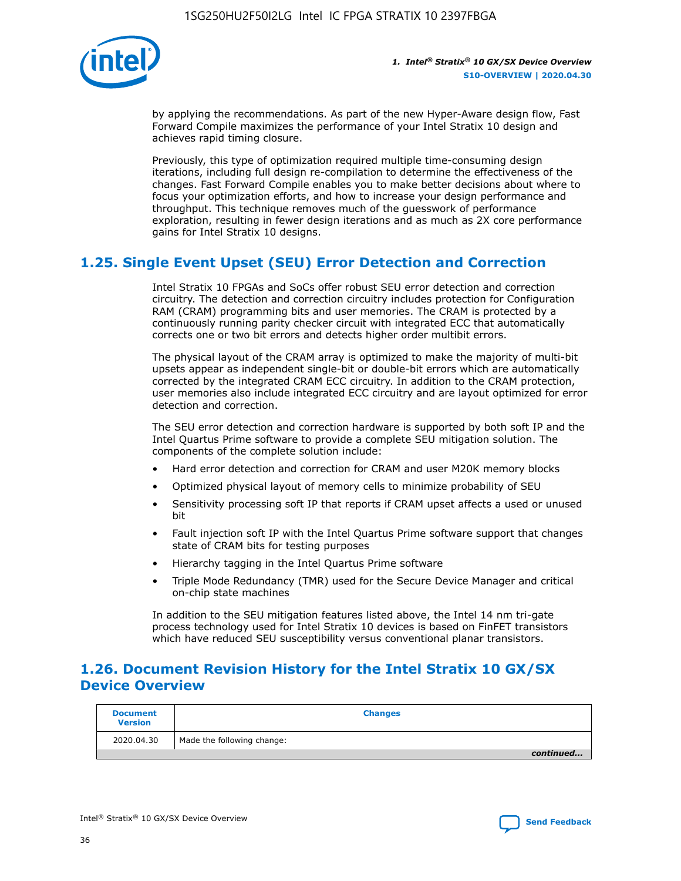

by applying the recommendations. As part of the new Hyper-Aware design flow, Fast Forward Compile maximizes the performance of your Intel Stratix 10 design and achieves rapid timing closure.

Previously, this type of optimization required multiple time-consuming design iterations, including full design re-compilation to determine the effectiveness of the changes. Fast Forward Compile enables you to make better decisions about where to focus your optimization efforts, and how to increase your design performance and throughput. This technique removes much of the guesswork of performance exploration, resulting in fewer design iterations and as much as 2X core performance gains for Intel Stratix 10 designs.

## **1.25. Single Event Upset (SEU) Error Detection and Correction**

Intel Stratix 10 FPGAs and SoCs offer robust SEU error detection and correction circuitry. The detection and correction circuitry includes protection for Configuration RAM (CRAM) programming bits and user memories. The CRAM is protected by a continuously running parity checker circuit with integrated ECC that automatically corrects one or two bit errors and detects higher order multibit errors.

The physical layout of the CRAM array is optimized to make the majority of multi-bit upsets appear as independent single-bit or double-bit errors which are automatically corrected by the integrated CRAM ECC circuitry. In addition to the CRAM protection, user memories also include integrated ECC circuitry and are layout optimized for error detection and correction.

The SEU error detection and correction hardware is supported by both soft IP and the Intel Quartus Prime software to provide a complete SEU mitigation solution. The components of the complete solution include:

- Hard error detection and correction for CRAM and user M20K memory blocks
- Optimized physical layout of memory cells to minimize probability of SEU
- Sensitivity processing soft IP that reports if CRAM upset affects a used or unused bit
- Fault injection soft IP with the Intel Quartus Prime software support that changes state of CRAM bits for testing purposes
- Hierarchy tagging in the Intel Quartus Prime software
- Triple Mode Redundancy (TMR) used for the Secure Device Manager and critical on-chip state machines

In addition to the SEU mitigation features listed above, the Intel 14 nm tri-gate process technology used for Intel Stratix 10 devices is based on FinFET transistors which have reduced SEU susceptibility versus conventional planar transistors.

## **1.26. Document Revision History for the Intel Stratix 10 GX/SX Device Overview**

| <b>Document</b><br><b>Version</b> | <b>Changes</b>             |
|-----------------------------------|----------------------------|
| 2020.04.30                        | Made the following change: |
|                                   | continued                  |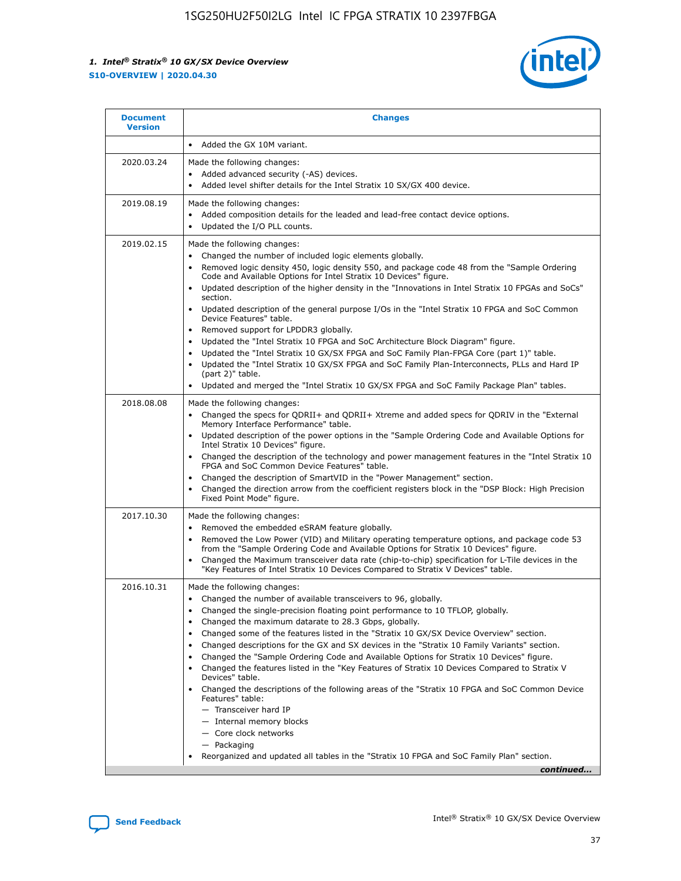

| <b>Document</b><br><b>Version</b> | <b>Changes</b>                                                                                                                                                                                                                                                                                                                                                                                                                                                                                                                                                                                                                                                                                                                                                                                                                                                                                                                                                                       |
|-----------------------------------|--------------------------------------------------------------------------------------------------------------------------------------------------------------------------------------------------------------------------------------------------------------------------------------------------------------------------------------------------------------------------------------------------------------------------------------------------------------------------------------------------------------------------------------------------------------------------------------------------------------------------------------------------------------------------------------------------------------------------------------------------------------------------------------------------------------------------------------------------------------------------------------------------------------------------------------------------------------------------------------|
|                                   | Added the GX 10M variant.                                                                                                                                                                                                                                                                                                                                                                                                                                                                                                                                                                                                                                                                                                                                                                                                                                                                                                                                                            |
| 2020.03.24                        | Made the following changes:<br>Added advanced security (-AS) devices.<br>$\bullet$<br>Added level shifter details for the Intel Stratix 10 SX/GX 400 device.                                                                                                                                                                                                                                                                                                                                                                                                                                                                                                                                                                                                                                                                                                                                                                                                                         |
| 2019.08.19                        | Made the following changes:<br>Added composition details for the leaded and lead-free contact device options.<br>$\bullet$<br>Updated the I/O PLL counts.<br>٠                                                                                                                                                                                                                                                                                                                                                                                                                                                                                                                                                                                                                                                                                                                                                                                                                       |
| 2019.02.15                        | Made the following changes:<br>Changed the number of included logic elements globally.<br>$\bullet$<br>Removed logic density 450, logic density 550, and package code 48 from the "Sample Ordering<br>٠<br>Code and Available Options for Intel Stratix 10 Devices" figure.<br>Updated description of the higher density in the "Innovations in Intel Stratix 10 FPGAs and SoCs"<br>section.<br>Updated description of the general purpose I/Os in the "Intel Stratix 10 FPGA and SoC Common<br>$\bullet$<br>Device Features" table.<br>Removed support for LPDDR3 globally.<br>Updated the "Intel Stratix 10 FPGA and SoC Architecture Block Diagram" figure.<br>٠<br>Updated the "Intel Stratix 10 GX/SX FPGA and SoC Family Plan-FPGA Core (part 1)" table.<br>٠<br>Updated the "Intel Stratix 10 GX/SX FPGA and SoC Family Plan-Interconnects, PLLs and Hard IP<br>(part 2)" table.<br>Updated and merged the "Intel Stratix 10 GX/SX FPGA and SoC Family Package Plan" tables.  |
| 2018.08.08                        | Made the following changes:<br>Changed the specs for QDRII+ and QDRII+ Xtreme and added specs for QDRIV in the "External<br>$\bullet$<br>Memory Interface Performance" table.<br>Updated description of the power options in the "Sample Ordering Code and Available Options for<br>$\bullet$<br>Intel Stratix 10 Devices" figure.<br>Changed the description of the technology and power management features in the "Intel Stratix 10<br>FPGA and SoC Common Device Features" table.<br>Changed the description of SmartVID in the "Power Management" section.<br>Changed the direction arrow from the coefficient registers block in the "DSP Block: High Precision<br>٠<br>Fixed Point Mode" figure.                                                                                                                                                                                                                                                                              |
| 2017.10.30                        | Made the following changes:<br>Removed the embedded eSRAM feature globally.<br>$\bullet$<br>Removed the Low Power (VID) and Military operating temperature options, and package code 53<br>from the "Sample Ordering Code and Available Options for Stratix 10 Devices" figure.<br>Changed the Maximum transceiver data rate (chip-to-chip) specification for L-Tile devices in the<br>"Key Features of Intel Stratix 10 Devices Compared to Stratix V Devices" table.                                                                                                                                                                                                                                                                                                                                                                                                                                                                                                               |
| 2016.10.31                        | Made the following changes:<br>Changed the number of available transceivers to 96, globally.<br>Changed the single-precision floating point performance to 10 TFLOP, globally.<br>Changed the maximum datarate to 28.3 Gbps, globally.<br>٠<br>Changed some of the features listed in the "Stratix 10 GX/SX Device Overview" section.<br>٠<br>Changed descriptions for the GX and SX devices in the "Stratix 10 Family Variants" section.<br>٠<br>Changed the "Sample Ordering Code and Available Options for Stratix 10 Devices" figure.<br>٠<br>Changed the features listed in the "Key Features of Stratix 10 Devices Compared to Stratix V<br>٠<br>Devices" table.<br>Changed the descriptions of the following areas of the "Stratix 10 FPGA and SoC Common Device<br>Features" table:<br>- Transceiver hard IP<br>- Internal memory blocks<br>- Core clock networks<br>- Packaging<br>Reorganized and updated all tables in the "Stratix 10 FPGA and SoC Family Plan" section. |
|                                   | continued                                                                                                                                                                                                                                                                                                                                                                                                                                                                                                                                                                                                                                                                                                                                                                                                                                                                                                                                                                            |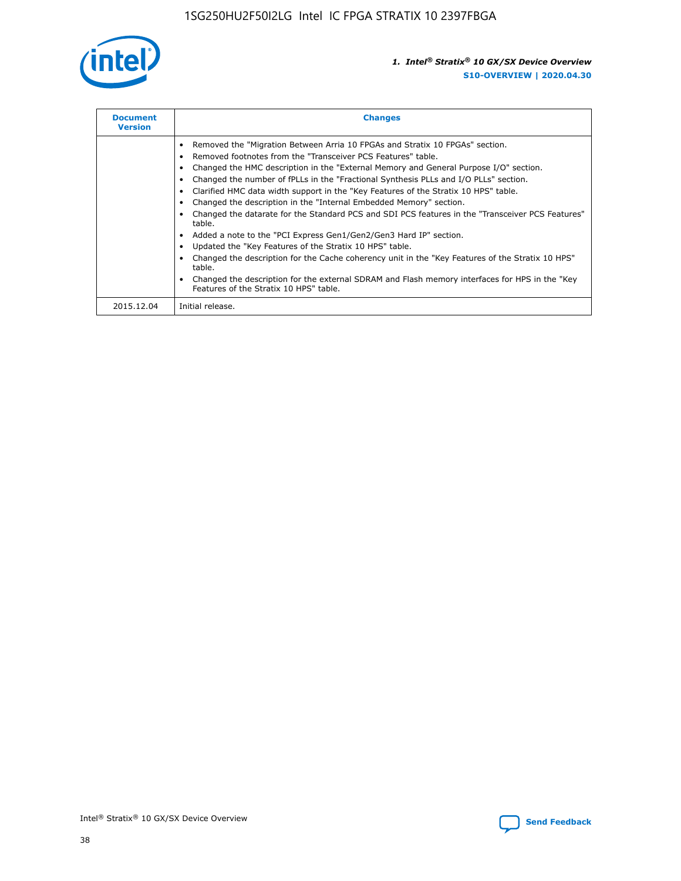

| <b>Document</b><br><b>Version</b> | <b>Changes</b>                                                                                                                                                                                                                                                                                                                                                                                                                                                                                                                                                                                                                                                                                                                                                                                                                                                                                                                                                                                     |
|-----------------------------------|----------------------------------------------------------------------------------------------------------------------------------------------------------------------------------------------------------------------------------------------------------------------------------------------------------------------------------------------------------------------------------------------------------------------------------------------------------------------------------------------------------------------------------------------------------------------------------------------------------------------------------------------------------------------------------------------------------------------------------------------------------------------------------------------------------------------------------------------------------------------------------------------------------------------------------------------------------------------------------------------------|
|                                   | Removed the "Migration Between Arria 10 FPGAs and Stratix 10 FPGAs" section.<br>Removed footnotes from the "Transceiver PCS Features" table.<br>Changed the HMC description in the "External Memory and General Purpose I/O" section.<br>Changed the number of fPLLs in the "Fractional Synthesis PLLs and I/O PLLs" section.<br>Clarified HMC data width support in the "Key Features of the Stratix 10 HPS" table.<br>Changed the description in the "Internal Embedded Memory" section.<br>Changed the datarate for the Standard PCS and SDI PCS features in the "Transceiver PCS Features"<br>table.<br>Added a note to the "PCI Express Gen1/Gen2/Gen3 Hard IP" section.<br>Updated the "Key Features of the Stratix 10 HPS" table.<br>Changed the description for the Cache coherency unit in the "Key Features of the Stratix 10 HPS"<br>table.<br>Changed the description for the external SDRAM and Flash memory interfaces for HPS in the "Key<br>Features of the Stratix 10 HPS" table. |
| 2015.12.04                        | Initial release.                                                                                                                                                                                                                                                                                                                                                                                                                                                                                                                                                                                                                                                                                                                                                                                                                                                                                                                                                                                   |